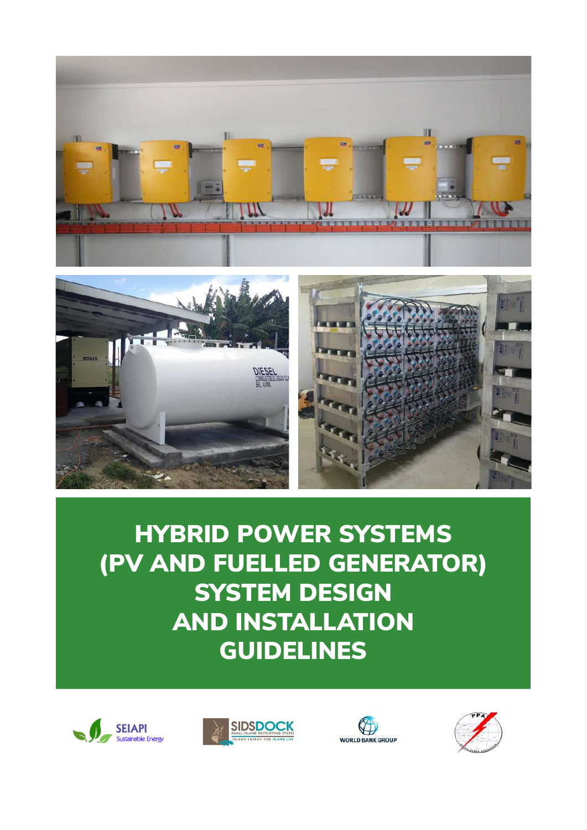



HYBRID POWER SYSTEMS (PV AND FUELLED GENERATOR) SYSTEM DESIGN AND INSTALLATION GUIDELINES







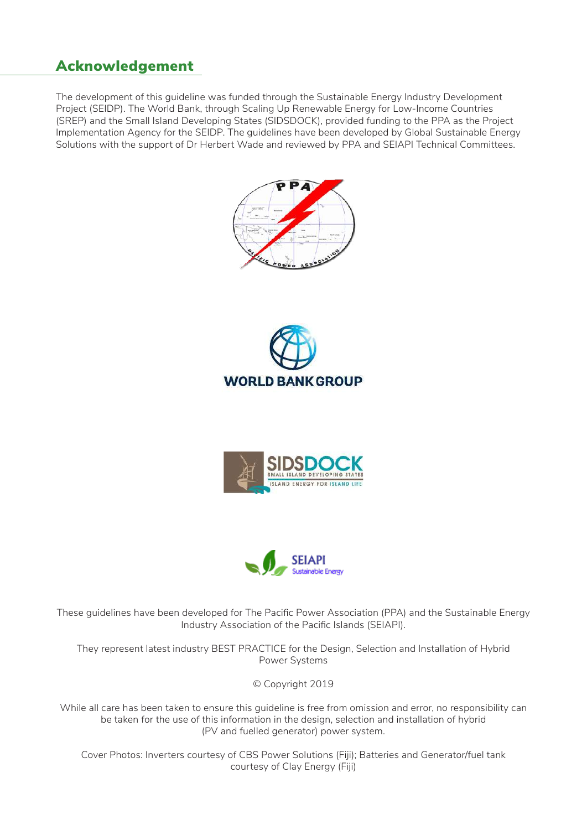### Acknowledgement

The development of this guideline was funded through the Sustainable Energy Industry Development Project (SEIDP). The World Bank, through Scaling Up Renewable Energy for Low-Income Countries (SREP) and the Small Island Developing States (SIDSDOCK), provided funding to the PPA as the Project Implementation Agency for the SEIDP. The guidelines have been developed by Global Sustainable Energy Solutions with the support of Dr Herbert Wade and reviewed by PPA and SEIAPI Technical Committees.









These guidelines have been developed for The Pacific Power Association (PPA) and the Sustainable Energy Industry Association of the Pacific Islands (SEIAPI).

They represent latest industry BEST PRACTICE for the Design, Selection and Installation of Hybrid Power Systems

© Copyright 2019

While all care has been taken to ensure this guideline is free from omission and error, no responsibility can be taken for the use of this information in the design, selection and installation of hybrid (PV and fuelled generator) power system.

Cover Photos: Inverters courtesy of CBS Power Solutions (Fiji); Batteries and Generator/fuel tank courtesy of Clay Energy (Fiji)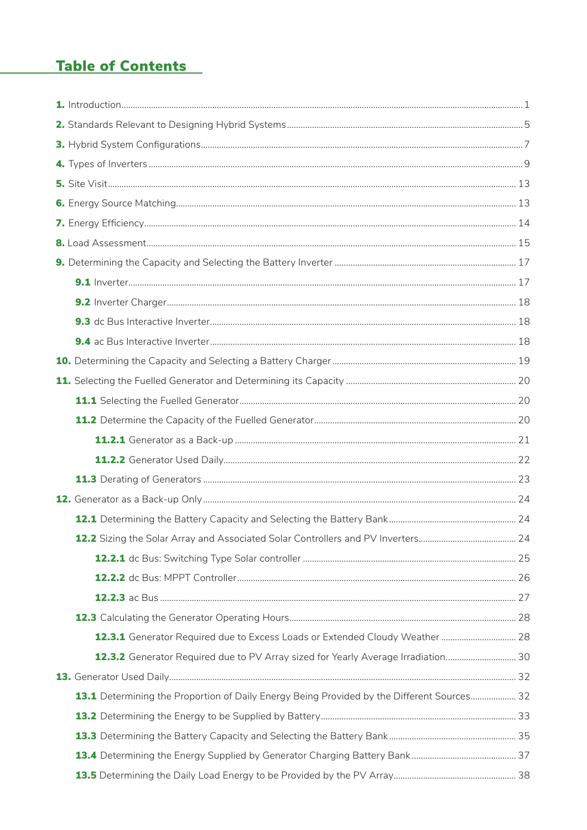# **Table of Contents**

| 12.2 Sizing the Solar Array and Associated Solar Controllers and PV Inverters              | 24 |
|--------------------------------------------------------------------------------------------|----|
|                                                                                            |    |
|                                                                                            |    |
|                                                                                            |    |
|                                                                                            |    |
| 12.3.1 Generator Required due to Excess Loads or Extended Cloudy Weather  28               |    |
| 12.3.2 Generator Required due to PV Array sized for Yearly Average Irradiation 30          |    |
|                                                                                            |    |
| 13.1 Determining the Proportion of Daily Energy Being Provided by the Different Sources 32 |    |
|                                                                                            |    |
|                                                                                            |    |
|                                                                                            |    |
|                                                                                            |    |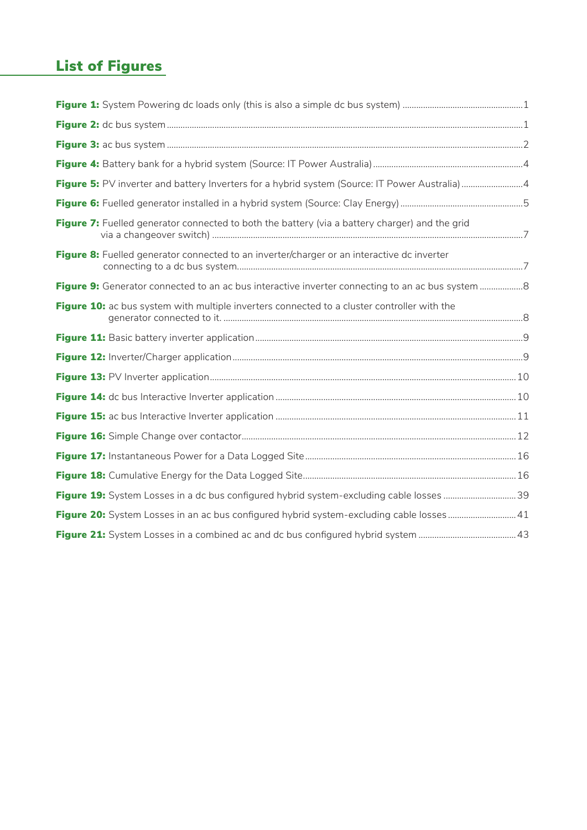# List of Figures

| Figure 5: PV inverter and battery Inverters for a hybrid system (Source: IT Power Australia) 4   |  |
|--------------------------------------------------------------------------------------------------|--|
|                                                                                                  |  |
| Figure 7: Fuelled generator connected to both the battery (via a battery charger) and the grid   |  |
| Figure 8: Fuelled generator connected to an inverter/charger or an interactive dc inverter       |  |
| Figure 9: Generator connected to an ac bus interactive inverter connecting to an ac bus system 8 |  |
| Figure 10: ac bus system with multiple inverters connected to a cluster controller with the      |  |
|                                                                                                  |  |
|                                                                                                  |  |
|                                                                                                  |  |
|                                                                                                  |  |
|                                                                                                  |  |
|                                                                                                  |  |
|                                                                                                  |  |
|                                                                                                  |  |
| Figure 19: System Losses in a dc bus configured hybrid system-excluding cable losses 39          |  |
| Figure 20: System Losses in an ac bus configured hybrid system-excluding cable losses 41         |  |
|                                                                                                  |  |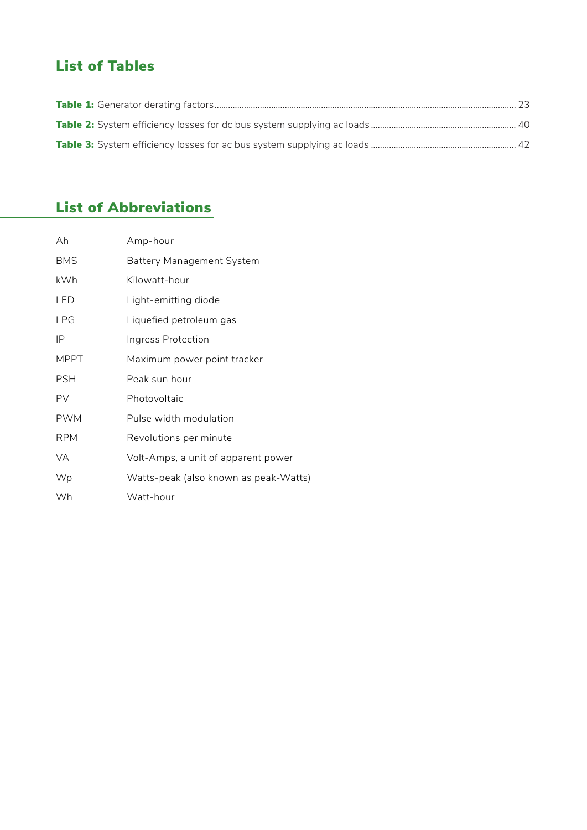# List of Tables

# List of Abbreviations

| Ah          | Amp-hour                              |
|-------------|---------------------------------------|
| <b>BMS</b>  | <b>Battery Management System</b>      |
| kWh         | Kilowatt-hour                         |
| LED         | Light-emitting diode                  |
| <b>LPG</b>  | Liquefied petroleum gas               |
| IP          | Ingress Protection                    |
| <b>MPPT</b> | Maximum power point tracker           |
| <b>PSH</b>  | Peak sun hour                         |
| PV          | Photovoltaic                          |
| <b>PWM</b>  | Pulse width modulation                |
| <b>RPM</b>  | Revolutions per minute                |
| VA          | Volt-Amps, a unit of apparent power   |
| Wp          | Watts-peak (also known as peak-Watts) |
| Wh          | Watt-hour                             |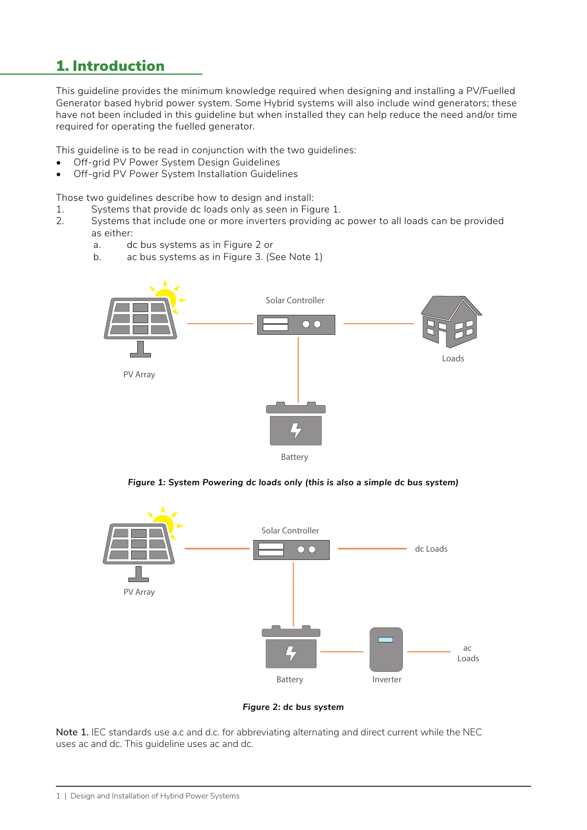## 1. Introduction

This guideline provides the minimum knowledge required when designing and installing a PV/Fuelled Generator based hybrid power system. Some Hybrid systems will also include wind generators; these have not been included in this guideline but when installed they can help reduce the need and/or time required for operating the fuelled generator.

This guideline is to be read in conjunction with the two guidelines:

- Off-grid PV Power System Design Guidelines
- Off-grid PV Power System Installation Guidelines

Those two guidelines describe how to design and install:

- 1. Systems that provide dc loads only as seen in Figure 1.
- 2. Systems that include one or more inverters providing ac power to all loads can be provided as either:
	- a. dc bus systems as in Figure 2 or
	- b. ac bus systems as in Figure 3. (See Note 1)



*Figure 1: System Powering dc loads only (this is also a simple dc bus system)*



*Figure 2: dc bus system*

**Note 1.** IEC standards use a.c and d.c. for abbreviating alternating and direct current while the NEC uses ac and dc. This guideline uses ac and dc.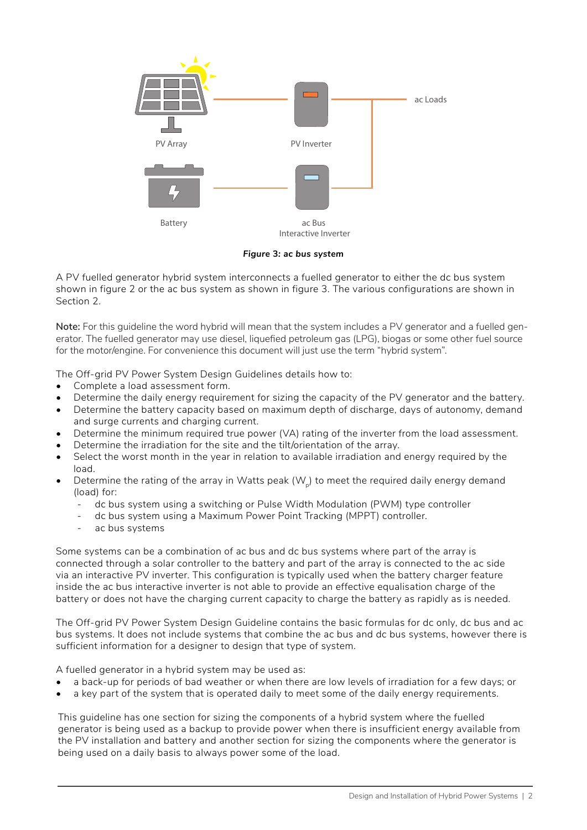

*Figure* **3***: ac bus system*

A PV fuelled generator hybrid system interconnects a fuelled generator to either the dc bus system shown in figure 2 or the ac bus system as shown in figure 3. The various configurations are shown in Section 2.

**Note:** For this guideline the word hybrid will mean that the system includes a PV generator and a fuelled generator. The fuelled generator may use diesel, liquefied petroleum gas (LPG), biogas or some other fuel source for the motor/engine. For convenience this document will just use the term "hybrid system".

The Off-grid PV Power System Design Guidelines details how to:

- Complete a load assessment form.
- Determine the daily energy requirement for sizing the capacity of the PV generator and the battery.
- Determine the battery capacity based on maximum depth of discharge, days of autonomy, demand and surge currents and charging current.
- Determine the minimum required true power (VA) rating of the inverter from the load assessment.
- Determine the irradiation for the site and the tilt/orientation of the array.
- Select the worst month in the year in relation to available irradiation and energy required by the load.
- Determine the rating of the array in Watts peak  $(W<sub>n</sub>)$  to meet the required daily energy demand (load) for:
	- dc bus system using a switching or Pulse Width Modulation (PWM) type controller
	- dc bus system using a Maximum Power Point Tracking (MPPT) controller.
	- ac bus systems

Some systems can be a combination of ac bus and dc bus systems where part of the array is connected through a solar controller to the battery and part of the array is connected to the ac side via an interactive PV inverter. This configuration is typically used when the battery charger feature inside the ac bus interactive inverter is not able to provide an effective equalisation charge of the battery or does not have the charging current capacity to charge the battery as rapidly as is needed.

The Off-grid PV Power System Design Guideline contains the basic formulas for dc only, dc bus and ac bus systems. It does not include systems that combine the ac bus and dc bus systems, however there is sufficient information for a designer to design that type of system.

A fuelled generator in a hybrid system may be used as:

- a back-up for periods of bad weather or when there are low levels of irradiation for a few days; or
- a key part of the system that is operated daily to meet some of the daily energy requirements.

This guideline has one section for sizing the components of a hybrid system where the fuelled generator is being used as a backup to provide power when there is insufficient energy available from the PV installation and battery and another section for sizing the components where the generator is being used on a daily basis to always power some of the load.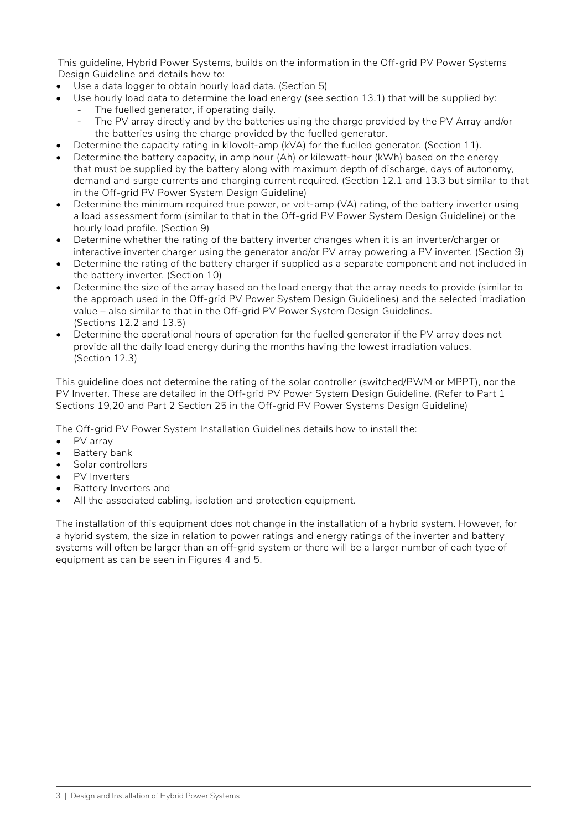This guideline, Hybrid Power Systems, builds on the information in the Off-grid PV Power Systems Design Guideline and details how to:

- Use a data logger to obtain hourly load data. (Section 5)
- Use hourly load data to determine the load energy (see section 13.1) that will be supplied by:
	- The fuelled generator, if operating daily.
		- The PV array directly and by the batteries using the charge provided by the PV Array and/or the batteries using the charge provided by the fuelled generator.
- Determine the capacity rating in kilovolt-amp (kVA) for the fuelled generator. (Section 11).
- Determine the battery capacity, in amp hour (Ah) or kilowatt-hour (kWh) based on the energy that must be supplied by the battery along with maximum depth of discharge, days of autonomy, demand and surge currents and charging current required. (Section 12.1 and 13.3 but similar to that in the Off-grid PV Power System Design Guideline)
- Determine the minimum required true power, or volt-amp (VA) rating, of the battery inverter using a load assessment form (similar to that in the Off-grid PV Power System Design Guideline) or the hourly load profile. (Section 9)
- Determine whether the rating of the battery inverter changes when it is an inverter/charger or interactive inverter charger using the generator and/or PV array powering a PV inverter. (Section 9)
- Determine the rating of the battery charger if supplied as a separate component and not included in the battery inverter. (Section 10)
- Determine the size of the array based on the load energy that the array needs to provide (similar to the approach used in the Off-grid PV Power System Design Guidelines) and the selected irradiation value – also similar to that in the Off-grid PV Power System Design Guidelines. (Sections 12.2 and 13.5)
- Determine the operational hours of operation for the fuelled generator if the PV array does not provide all the daily load energy during the months having the lowest irradiation values. (Section 12.3)

This guideline does not determine the rating of the solar controller (switched/PWM or MPPT), nor the PV Inverter. These are detailed in the Off-grid PV Power System Design Guideline. (Refer to Part 1) Sections 19,20 and Part 2 Section 25 in the Off-grid PV Power Systems Design Guideline)

The Off-grid PV Power System Installation Guidelines details how to install the:

- PV array
- Battery bank
- Solar controllers
- PV Inverters
- Battery Inverters and
- All the associated cabling, isolation and protection equipment.

The installation of this equipment does not change in the installation of a hybrid system. However, for a hybrid system, the size in relation to power ratings and energy ratings of the inverter and battery systems will often be larger than an off-grid system or there will be a larger number of each type of equipment as can be seen in Figures 4 and 5.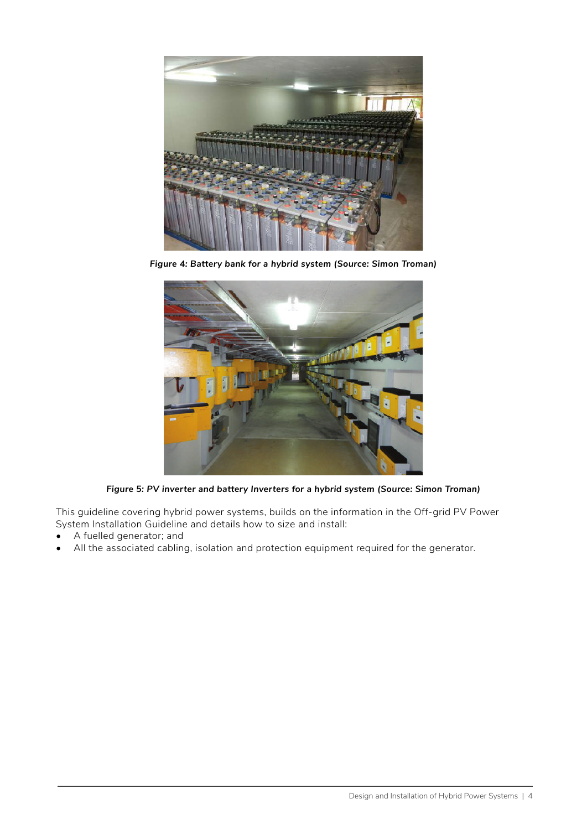

*Figure 4: Battery bank for a hybrid system (Source: Simon Troman)*



*Figure 5: PV inverter and battery Inverters for a hybrid system (Source: Simon Troman)*

This guideline covering hybrid power systems, builds on the information in the Off-grid PV Power System Installation Guideline and details how to size and install:

- A fuelled generator; and
- All the associated cabling, isolation and protection equipment required for the generator.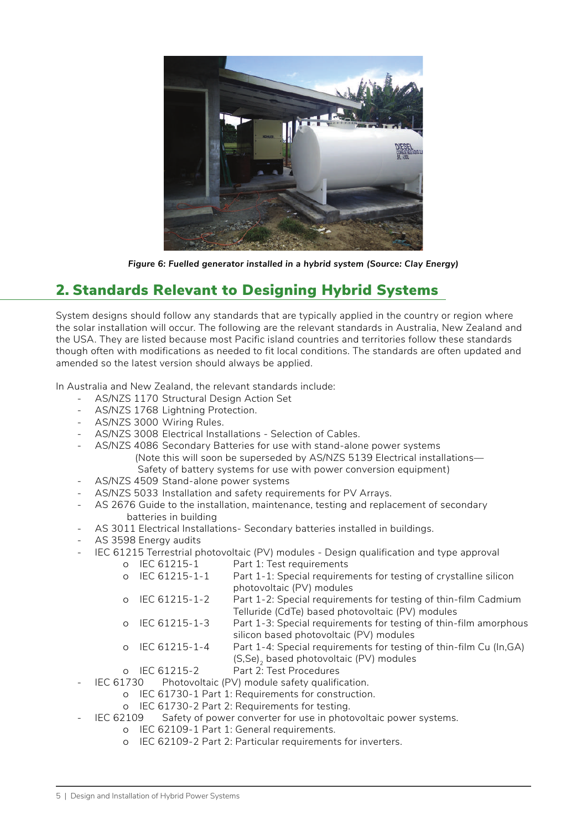

*Figure 6: Fuelled generator installed in a hybrid system (Source: Clay Energy)*

## 2. Standards Relevant to Designing Hybrid Systems

System designs should follow any standards that are typically applied in the country or region where the solar installation will occur. The following are the relevant standards in Australia, New Zealand and the USA. They are listed because most Pacific island countries and territories follow these standards though often with modifications as needed to fit local conditions. The standards are often updated and amended so the latest version should always be applied.

In Australia and New Zealand, the relevant standards include:

- AS/NZS 1170 Structural Design Action Set
- AS/NZS 1768 Lightning Protection.
- AS/NZS 3000 Wiring Rules.
- AS/NZS 3008 Electrical Installations Selection of Cables.
- AS/NZS 4086 Secondary Batteries for use with stand-alone power systems (Note this will soon be superseded by AS/NZS 5139 Electrical installations— Safety of battery systems for use with power conversion equipment)
- AS/NZS 4509 Stand-alone power systems
- AS/NZS 5033 Installation and safety requirements for PV Arrays.
- AS 2676 Guide to the installation, maintenance, testing and replacement of secondary batteries in building
- AS 3011 Electrical Installations- Secondary batteries installed in buildings.
- AS 3598 Energy audits
- IEC 61215 Terrestrial photovoltaic (PV) modules Design qualification and type approval
	- ȍ IEC 61215-1 Part 1: Test requirements
		- ȍ IEC 61215-1-1 Part 1-1: Special requirements for testing of crystalline silicon photovoltaic (PV) modules
		- ȍ IEC 61215-1-2 Part 1-2: Special requirements for testing of thin-film Cadmium Telluride (CdTe) based photovoltaic (PV) modules
		- ȍ IEC 61215-1-3 Part 1-3: Special requirements for testing of thin-film amorphous silicon based photovoltaic (PV) modules
		- ȍ IEC 61215-1-4 Part 1-4: Special requirements for testing of thin-film Cu (In,GA) (S,Se)<sub>2</sub> based photovoltaic (PV) modules<br>
		o IEC 61215-2 Part 2: Test Procedures
		-
	- Part 2: Test Procedures IEC 61730 Photovoltaic (PV) module safety qualification.
		- ȍ IEC 61730-1 Part 1: Requirements for construction.
			- ȍ IEC 61730-2 Part 2: Requirements for testing.
- IEC 62109 Safety of power converter for use in photovoltaic power systems.
	- ȍ IEC 62109-1 Part 1: General requirements.
	- ȍ IEC 62109-2 Part 2: Particular requirements for inverters.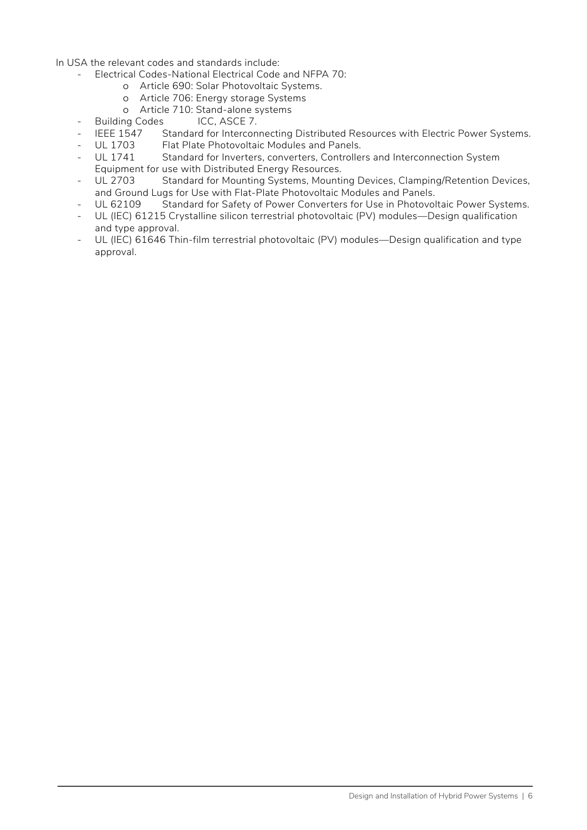In USA the relevant codes and standards include:

- Electrical Codes-National Electrical Code and NFPA 70:
	- ȍ Article 690: Solar Photovoltaic Systems.
	- ȍ Article 706: Energy storage Systems
	- ȍ Article 710: Stand-alone systems
- Building Codes ICC, ASCE 7.
- IEEE 1547 Standard for Interconnecting Distributed Resources with Electric Power Systems.
- UL 1703 Flat Plate Photovoltaic Modules and Panels.<br>- UL 1741 Standard for Inverters, converters, Controlle
- UL 1741 Standard for Inverters, converters, Controllers and Interconnection System Equipment for use with Distributed Energy Resources.
- UL 2703 Standard for Mounting Systems, Mounting Devices, Clamping/Retention Devices, and Ground Lugs for Use with Flat-Plate Photovoltaic Modules and Panels.
- UL 62109 Standard for Safety of Power Converters for Use in Photovoltaic Power Systems.
- UL (IEC) 61215 Crystalline silicon terrestrial photovoltaic (PV) modules—Design qualification and type approval.
- UL (IEC) 61646 Thin-film terrestrial photovoltaic (PV) modules—Design qualification and type approval.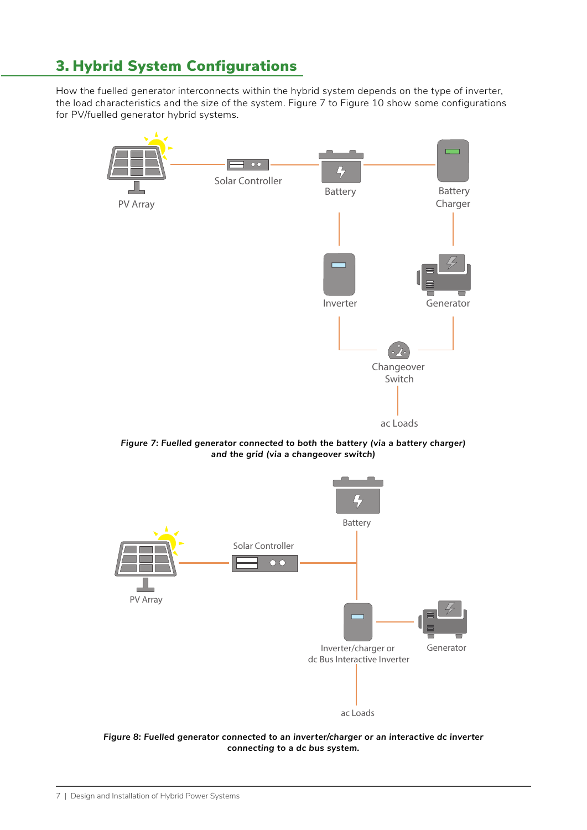## 3. Hybrid System Configurations

How the fuelled generator interconnects within the hybrid system depends on the type of inverter, the load characteristics and the size of the system. [Figure 7](#page-13-0) to [Figure 10](#page-14-0) show some configurations for PV/fuelled generator hybrid systems.



<span id="page-13-0"></span>*Figure 7: Fuelled generator connected to both the battery (via a battery charger) and the grid (via a changeover switch)*



*Figure 8: Fuelled generator connected to an inverter/charger or an interactive dc inverter connecting to a dc bus system.*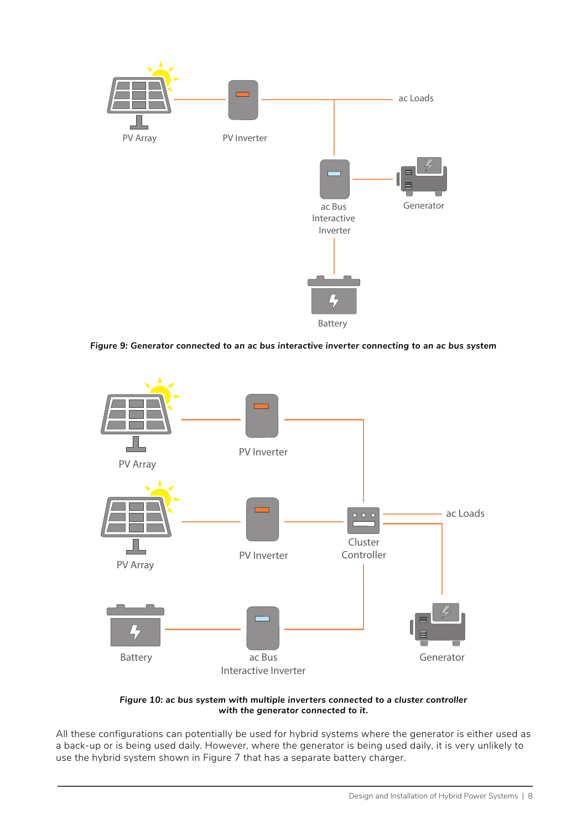

*Figure 9: Generator connected to an ac bus interactive inverter connecting to an ac bus system*



<span id="page-14-0"></span>*Figure 10: ac bus system with multiple inverters connected to a cluster controller with the generator connected to it.*

All these configurations can potentially be used for hybrid systems where the generator is either used as a back-up or is being used daily. However, where the generator is being used daily, it is very unlikely to use the hybrid system shown in [Figure 7](#page-13-0) that has a separate battery charger.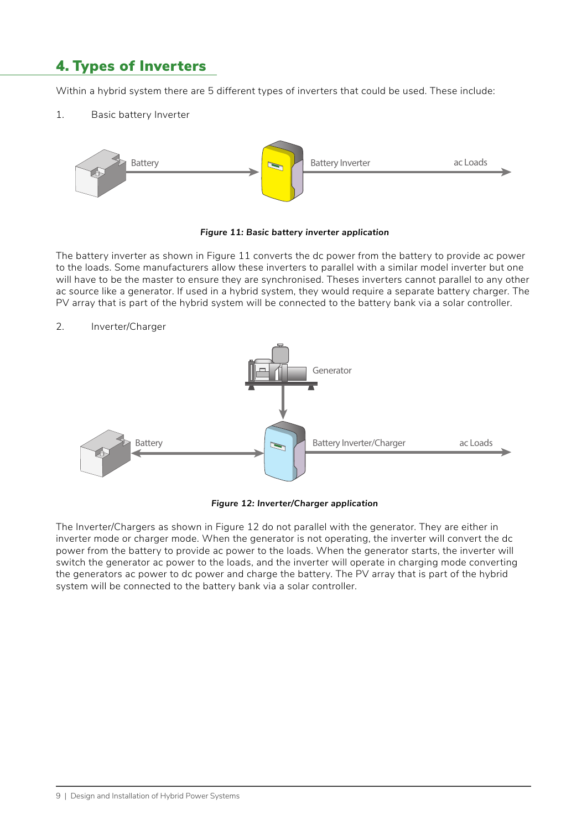## 4. Types of Inverters

Within a hybrid system there are 5 different types of inverters that could be used. These include:

1. Basic battery Inverter



<span id="page-15-0"></span> *Figure 11: Basic battery inverter application*

The battery inverter as shown in [Figure 11](#page-15-0) converts the dc power from the battery to provide ac power to the loads. Some manufacturers allow these inverters to parallel with a similar model inverter but one will have to be the master to ensure they are synchronised. Theses inverters cannot parallel to any other ac source like a generator. If used in a hybrid system, they would require a separate battery charger. The PV array that is part of the hybrid system will be connected to the battery bank via a solar controller.

2. Inverter/Charger



<span id="page-15-1"></span> *Figure 12: Inverter/Charger application*

The Inverter/Chargers as shown in [Figure 12](#page-15-1) do not parallel with the generator. They are either in inverter mode or charger mode. When the generator is not operating, the inverter will convert the dc power from the battery to provide ac power to the loads. When the generator starts, the inverter will switch the generator ac power to the loads, and the inverter will operate in charging mode converting the generators ac power to dc power and charge the battery. The PV array that is part of the hybrid system will be connected to the battery bank via a solar controller.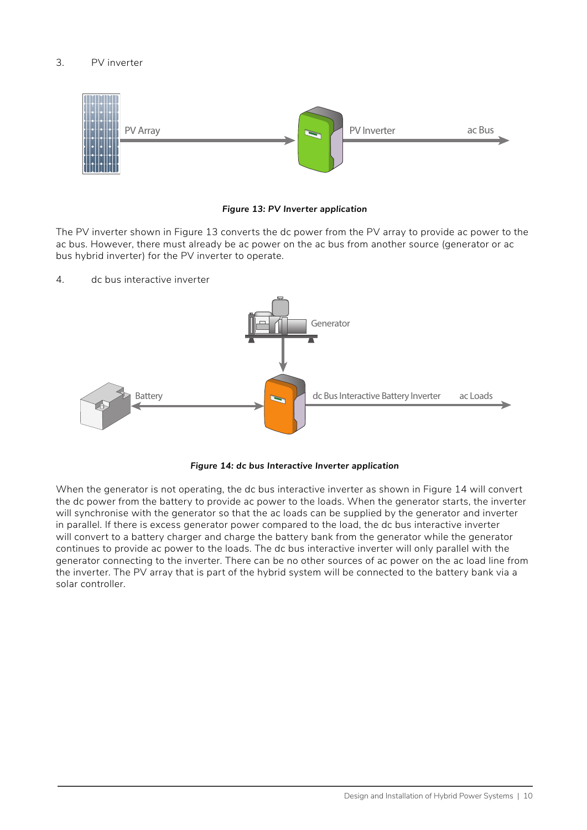#### 3. PV inverter



#### <span id="page-16-0"></span> *Figure 13: PV Inverter application*

The PV inverter shown in [Figure 13](#page-16-0) converts the dc power from the PV array to provide ac power to the ac bus. However, there must already be ac power on the ac bus from another source (generator or ac bus hybrid inverter) for the PV inverter to operate.

4. dc bus interactive inverter



<span id="page-16-1"></span>

When the generator is not operating, the dc bus interactive inverter as shown in [Figure 14](#page-16-1) will convert the dc power from the battery to provide ac power to the loads. When the generator starts, the inverter will synchronise with the generator so that the ac loads can be supplied by the generator and inverter in parallel. If there is excess generator power compared to the load, the dc bus interactive inverter will convert to a battery charger and charge the battery bank from the generator while the generator continues to provide ac power to the loads. The dc bus interactive inverter will only parallel with the generator connecting to the inverter. There can be no other sources of ac power on the ac load line from the inverter. The PV array that is part of the hybrid system will be connected to the battery bank via a solar controller.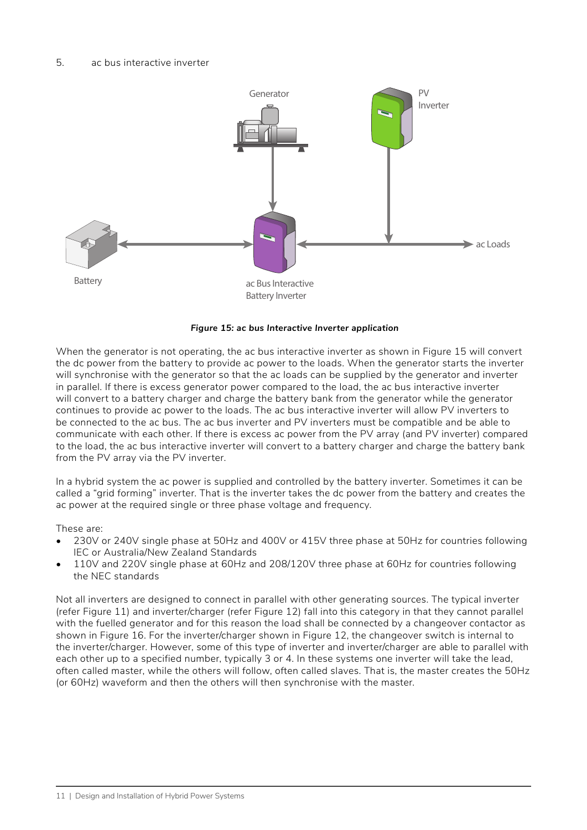

#### <span id="page-17-0"></span> *Figure 15: ac bus Interactive Inverter application*

When the generator is not operating, the ac bus interactive inverter as shown in [Figure 15](#page-17-0) will convert the dc power from the battery to provide ac power to the loads. When the generator starts the inverter will synchronise with the generator so that the ac loads can be supplied by the generator and inverter in parallel. If there is excess generator power compared to the load, the ac bus interactive inverter will convert to a battery charger and charge the battery bank from the generator while the generator continues to provide ac power to the loads. The ac bus interactive inverter will allow PV inverters to be connected to the ac bus. The ac bus inverter and PV inverters must be compatible and be able to communicate with each other. If there is excess ac power from the PV array (and PV inverter) compared to the load, the ac bus interactive inverter will convert to a battery charger and charge the battery bank from the PV array via the PV inverter.

In a hybrid system the ac power is supplied and controlled by the battery inverter. Sometimes it can be called a "grid forming" inverter. That is the inverter takes the dc power from the battery and creates the ac power at the required single or three phase voltage and frequency.

These are:

- 230V or 240V single phase at 50Hz and 400V or 415V three phase at 50Hz for countries following IEC or Australia/New Zealand Standards
- 110V and 220V single phase at 60Hz and 208/120V three phase at 60Hz for countries following the NEC standards

Not all inverters are designed to connect in parallel with other generating sources. The typical inverter (refer [Figure 11\)](#page-15-0) and inverter/charger (refer [Figure 12](#page-15-1)) fall into this category in that they cannot parallel with the fuelled generator and for this reason the load shall be connected by a changeover contactor as shown in [Figure 16.](#page-18-0) For the inverter/charger shown in [Figure 12,](#page-15-1) the changeover switch is internal to the inverter/charger. However, some of this type of inverter and inverter/charger are able to parallel with each other up to a specified number, typically 3 or 4. In these systems one inverter will take the lead, often called master, while the others will follow, often called slaves. That is, the master creates the 50Hz (or 60Hz) waveform and then the others will then synchronise with the master.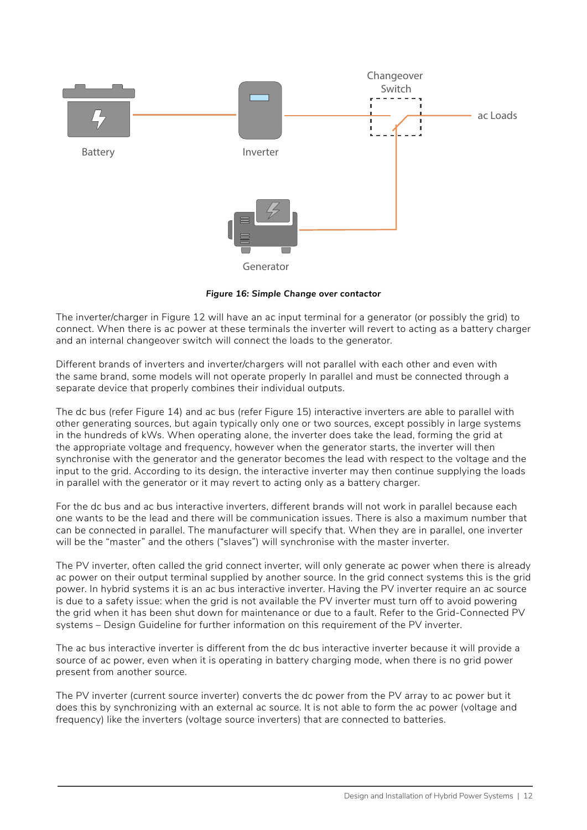

<span id="page-18-0"></span>*Figure 16: Simple Change over contactor*

The inverter/charger in [Figure 12](#page-15-1) will have an ac input terminal for a generator (or possibly the grid) to connect. When there is ac power at these terminals the inverter will revert to acting as a battery charger and an internal changeover switch will connect the loads to the generator.

Different brands of inverters and inverter/chargers will not parallel with each other and even with the same brand, some models will not operate properly In parallel and must be connected through a separate device that properly combines their individual outputs.

The dc bus (refer [Figure 14](#page-16-1)) and ac bus (refer [Figure 15](#page-17-0)) interactive inverters are able to parallel with other generating sources, but again typically only one or two sources, except possibly in large systems in the hundreds of kWs. When operating alone, the inverter does take the lead, forming the grid at the appropriate voltage and frequency, however when the generator starts, the inverter will then synchronise with the generator and the generator becomes the lead with respect to the voltage and the input to the grid. According to its design, the interactive inverter may then continue supplying the loads in parallel with the generator or it may revert to acting only as a battery charger.

For the dc bus and ac bus interactive inverters, different brands will not work in parallel because each one wants to be the lead and there will be communication issues. There is also a maximum number that can be connected in parallel. The manufacturer will specify that. When they are in parallel, one inverter will be the "master" and the others ("slaves") will synchronise with the master inverter.

The PV inverter, often called the grid connect inverter, will only generate ac power when there is already ac power on their output terminal supplied by another source. In the grid connect systems this is the grid power. In hybrid systems it is an ac bus interactive inverter. Having the PV inverter require an ac source is due to a safety issue: when the grid is not available the PV inverter must turn off to avoid powering the grid when it has been shut down for maintenance or due to a fault. Refer to the Grid-Connected PV systems – Design Guideline for further information on this requirement of the PV inverter.

The ac bus interactive inverter is different from the dc bus interactive inverter because it will provide a source of ac power, even when it is operating in battery charging mode, when there is no grid power present from another source.

The PV inverter (current source inverter) converts the dc power from the PV array to ac power but it does this by synchronizing with an external ac source. It is not able to form the ac power (voltage and frequency) like the inverters (voltage source inverters) that are connected to batteries.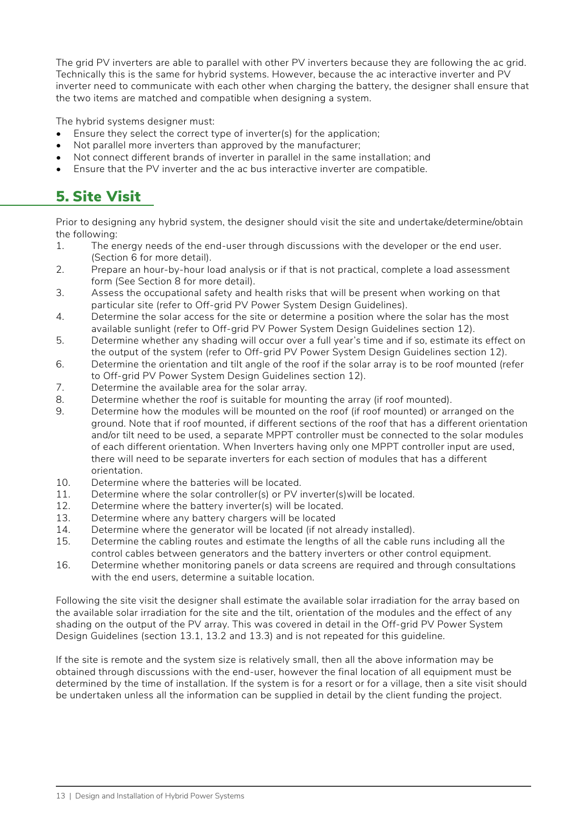The grid PV inverters are able to parallel with other PV inverters because they are following the ac grid. Technically this is the same for hybrid systems. However, because the ac interactive inverter and PV inverter need to communicate with each other when charging the battery, the designer shall ensure that the two items are matched and compatible when designing a system.

The hybrid systems designer must:

- Ensure they select the correct type of inverter(s) for the application;
- Not parallel more inverters than approved by the manufacturer;
- Not connect different brands of inverter in parallel in the same installation; and
- Ensure that the PV inverter and the ac bus interactive inverter are compatible.

## 5. Site Visit

Prior to designing any hybrid system, the designer should visit the site and undertake/determine/obtain the following:

- 1. The energy needs of the end-user through discussions with the developer or the end user. (Section 6 for more detail).
- 2. Prepare an hour-by-hour load analysis or if that is not practical, complete a load assessment form (See Section 8 for more detail).
- 3. Assess the occupational safety and health risks that will be present when working on that particular site (refer to Off-grid PV Power System Design Guidelines).
- 4. Determine the solar access for the site or determine a position where the solar has the most available sunlight (refer to Off-grid PV Power System Design Guidelines section 12).
- 5. Determine whether any shading will occur over a full year's time and if so, estimate its effect on the output of the system (refer to Off-grid PV Power System Design Guidelines section 12).
- 6. Determine the orientation and tilt angle of the roof if the solar array is to be roof mounted (refer to Off-grid PV Power System Design Guidelines section 12).
- 7. Determine the available area for the solar array.
- 8. Determine whether the roof is suitable for mounting the array (if roof mounted).
- 9. Determine how the modules will be mounted on the roof (if roof mounted) or arranged on the ground. Note that if roof mounted, if different sections of the roof that has a different orientation and/or tilt need to be used, a separate MPPT controller must be connected to the solar modules of each different orientation. When Inverters having only one MPPT controller input are used, there will need to be separate inverters for each section of modules that has a different orientation.
- 10. Determine where the batteries will be located.
- 11. Determine where the solar controller(s) or PV inverter(s)will be located.
- 12. Determine where the battery inverter(s) will be located.
- 13. Determine where any battery chargers will be located
- 14. Determine where the generator will be located (if not already installed).
- 15. Determine the cabling routes and estimate the lengths of all the cable runs including all the control cables between generators and the battery inverters or other control equipment.
- 16. Determine whether monitoring panels or data screens are required and through consultations with the end users, determine a suitable location.

Following the site visit the designer shall estimate the available solar irradiation for the array based on the available solar irradiation for the site and the tilt, orientation of the modules and the effect of any shading on the output of the PV array. This was covered in detail in the Off-grid PV Power System Design Guidelines (section 13.1, 13.2 and 13.3) and is not repeated for this guideline.

If the site is remote and the system size is relatively small, then all the above information may be obtained through discussions with the end-user, however the final location of all equipment must be determined by the time of installation. If the system is for a resort or for a village, then a site visit should be undertaken unless all the information can be supplied in detail by the client funding the project.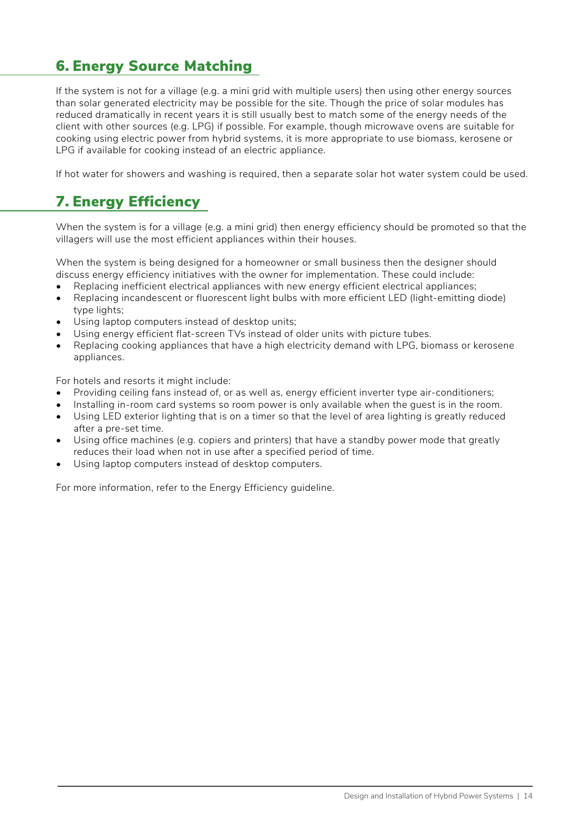## 6. Energy Source Matching

If the system is not for a village (e.g. a mini grid with multiple users) then using other energy sources than solar generated electricity may be possible for the site. Though the price of solar modules has reduced dramatically in recent years it is still usually best to match some of the energy needs of the client with other sources (e.g. LPG) if possible. For example, though microwave ovens are suitable for cooking using electric power from hybrid systems, it is more appropriate to use biomass, kerosene or LPG if available for cooking instead of an electric appliance.

If hot water for showers and washing is required, then a separate solar hot water system could be used.

## 7. Energy Efficiency

When the system is for a village (e.g. a mini grid) then energy efficiency should be promoted so that the villagers will use the most efficient appliances within their houses.

When the system is being designed for a homeowner or small business then the designer should discuss energy efficiency initiatives with the owner for implementation. These could include:

- Replacing inefficient electrical appliances with new energy efficient electrical appliances;
- Replacing incandescent or fluorescent light bulbs with more efficient LED (light-emitting diode) type lights;
- Using laptop computers instead of desktop units;
- Using energy efficient flat-screen TVs instead of older units with picture tubes.
- Replacing cooking appliances that have a high electricity demand with LPG, biomass or kerosene appliances.

For hotels and resorts it might include:

- Providing ceiling fans instead of, or as well as, energy efficient inverter type air-conditioners;
- Installing in-room card systems so room power is only available when the guest is in the room.
- Using LED exterior lighting that is on a timer so that the level of area lighting is greatly reduced after a pre-set time.
- Using office machines (e.g. copiers and printers) that have a standby power mode that greatly reduces their load when not in use after a specified period of time.
- Using laptop computers instead of desktop computers.

For more information, refer to the Energy Efficiency guideline.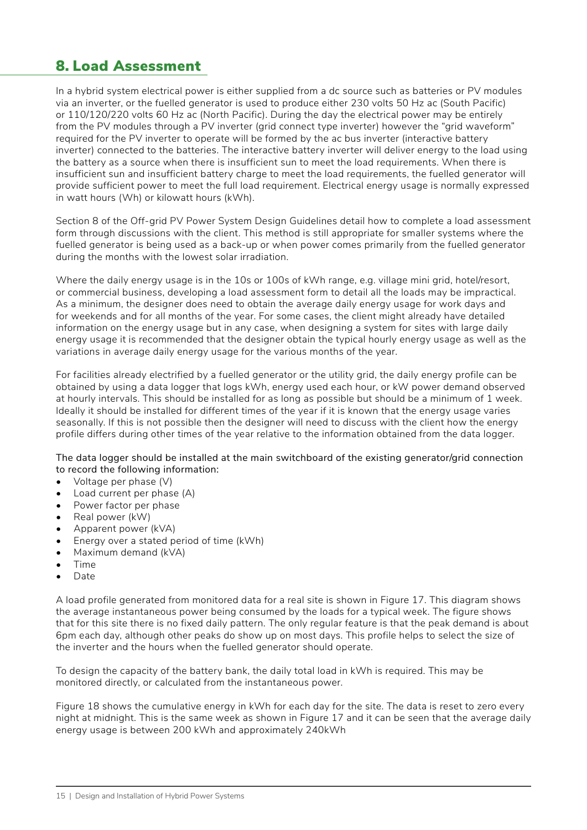### 8. Load Assessment

In a hybrid system electrical power is either supplied from a dc source such as batteries or PV modules via an inverter, or the fuelled generator is used to produce either 230 volts 50 Hz ac (South Pacific) or 110/120/220 volts 60 Hz ac (North Pacific). During the day the electrical power may be entirely from the PV modules through a PV inverter (grid connect type inverter) however the "grid waveform" required for the PV inverter to operate will be formed by the ac bus inverter (interactive battery inverter) connected to the batteries. The interactive battery inverter will deliver energy to the load using the battery as a source when there is insufficient sun to meet the load requirements. When there is insufficient sun and insufficient battery charge to meet the load requirements, the fuelled generator will provide sufficient power to meet the full load requirement. Electrical energy usage is normally expressed in watt hours (Wh) or kilowatt hours (kWh).

Section 8 of the Off-grid PV Power System Design Guidelines detail how to complete a load assessment form through discussions with the client. This method is still appropriate for smaller systems where the fuelled generator is being used as a back-up or when power comes primarily from the fuelled generator during the months with the lowest solar irradiation.

Where the daily energy usage is in the 10s or 100s of kWh range, e.g. village mini grid, hotel/resort, or commercial business, developing a load assessment form to detail all the loads may be impractical. As a minimum, the designer does need to obtain the average daily energy usage for work days and for weekends and for all months of the year. For some cases, the client might already have detailed information on the energy usage but in any case, when designing a system for sites with large daily energy usage it is recommended that the designer obtain the typical hourly energy usage as well as the variations in average daily energy usage for the various months of the year.

For facilities already electrified by a fuelled generator or the utility grid, the daily energy profile can be obtained by using a data logger that logs kWh, energy used each hour, or kW power demand observed at hourly intervals. This should be installed for as long as possible but should be a minimum of 1 week. Ideally it should be installed for different times of the year if it is known that the energy usage varies seasonally. If this is not possible then the designer will need to discuss with the client how the energy profile differs during other times of the year relative to the information obtained from the data logger.

The data logger should be installed at the main switchboard of the existing generator/grid connection to record the following information:

- Voltage per phase (V)
- Load current per phase (A)
- Power factor per phase
- Real power (kW)
- Apparent power (kVA)
- Energy over a stated period of time (kWh)
- Maximum demand (kVA)
- Time
- Date

A load profile generated from monitored data for a real site is shown in [Figure 17](#page-22-0). This diagram shows the average instantaneous power being consumed by the loads for a typical week. The figure shows that for this site there is no fixed daily pattern. The only regular feature is that the peak demand is about 6pm each day, although other peaks do show up on most days. This profile helps to select the size of the inverter and the hours when the fuelled generator should operate.

To design the capacity of the battery bank, the daily total load in kWh is required. This may be monitored directly, or calculated from the instantaneous power.

[Figure 18](#page-22-1) shows the cumulative energy in kWh for each day for the site. The data is reset to zero every night at midnight. This is the same week as shown in [Figure 17](#page-22-0) and it can be seen that the average daily energy usage is between 200 kWh and approximately 240kWh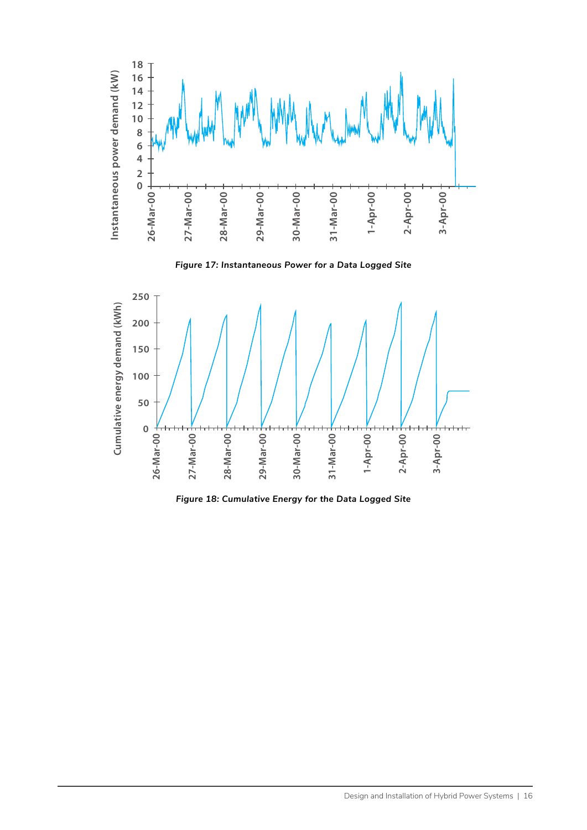

<span id="page-22-0"></span>*Figure 17: Instantaneous Power for a Data Logged Site*



<span id="page-22-1"></span>*Figure 18: Cumulative Energy for the Data Logged Site*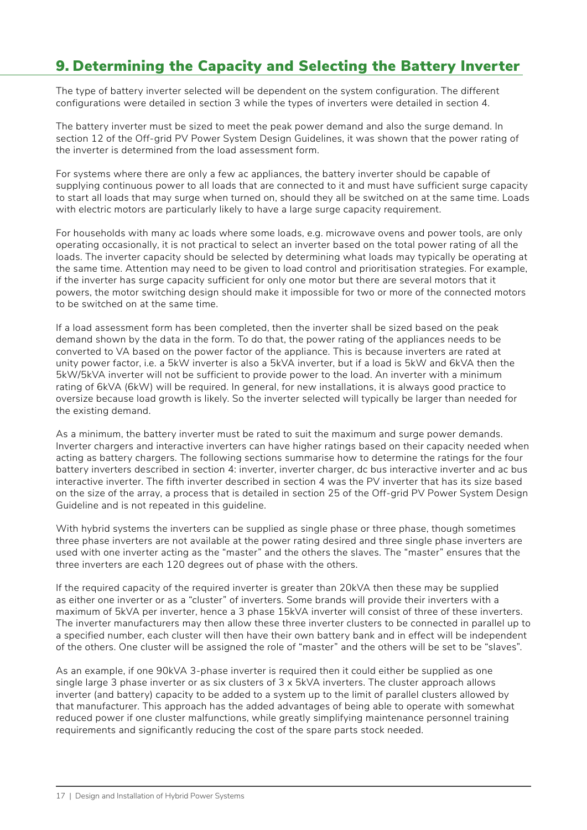## 9. Determining the Capacity and Selecting the Battery Inverter

The type of battery inverter selected will be dependent on the system configuration. The different configurations were detailed in section 3 while the types of inverters were detailed in section 4.

The battery inverter must be sized to meet the peak power demand and also the surge demand. In section 12 of the Off-grid PV Power System Design Guidelines, it was shown that the power rating of the inverter is determined from the load assessment form.

For systems where there are only a few ac appliances, the battery inverter should be capable of supplying continuous power to all loads that are connected to it and must have sufficient surge capacity to start all loads that may surge when turned on, should they all be switched on at the same time. Loads with electric motors are particularly likely to have a large surge capacity requirement.

For households with many ac loads where some loads, e.g. microwave ovens and power tools, are only operating occasionally, it is not practical to select an inverter based on the total power rating of all the loads. The inverter capacity should be selected by determining what loads may typically be operating at the same time. Attention may need to be given to load control and prioritisation strategies. For example, if the inverter has surge capacity sufficient for only one motor but there are several motors that it powers, the motor switching design should make it impossible for two or more of the connected motors to be switched on at the same time.

If a load assessment form has been completed, then the inverter shall be sized based on the peak demand shown by the data in the form. To do that, the power rating of the appliances needs to be converted to VA based on the power factor of the appliance. This is because inverters are rated at unity power factor, i.e. a 5kW inverter is also a 5kVA inverter, but if a load is 5kW and 6kVA then the 5kW/5kVA inverter will not be sufficient to provide power to the load. An inverter with a minimum rating of 6kVA (6kW) will be required. In general, for new installations, it is always good practice to oversize because load growth is likely. So the inverter selected will typically be larger than needed for the existing demand.

As a minimum, the battery inverter must be rated to suit the maximum and surge power demands. Inverter chargers and interactive inverters can have higher ratings based on their capacity needed when acting as battery chargers. The following sections summarise how to determine the ratings for the four battery inverters described in section 4: inverter, inverter charger, dc bus interactive inverter and ac bus interactive inverter. The fifth inverter described in section 4 was the PV inverter that has its size based on the size of the array, a process that is detailed in section 25 of the Off-grid PV Power System Design Guideline and is not repeated in this guideline.

With hybrid systems the inverters can be supplied as single phase or three phase, though sometimes three phase inverters are not available at the power rating desired and three single phase inverters are used with one inverter acting as the "master" and the others the slaves. The "master" ensures that the three inverters are each 120 degrees out of phase with the others.

If the required capacity of the required inverter is greater than 20kVA then these may be supplied as either one inverter or as a "cluster" of inverters. Some brands will provide their inverters with a maximum of 5kVA per inverter, hence a 3 phase 15kVA inverter will consist of three of these inverters. The inverter manufacturers may then allow these three inverter clusters to be connected in parallel up to a specified number, each cluster will then have their own battery bank and in effect will be independent of the others. One cluster will be assigned the role of "master" and the others will be set to be "slaves".

As an example, if one 90kVA 3-phase inverter is required then it could either be supplied as one single large 3 phase inverter or as six clusters of 3 x 5kVA inverters. The cluster approach allows inverter (and battery) capacity to be added to a system up to the limit of parallel clusters allowed by that manufacturer. This approach has the added advantages of being able to operate with somewhat reduced power if one cluster malfunctions, while greatly simplifying maintenance personnel training requirements and significantly reducing the cost of the spare parts stock needed.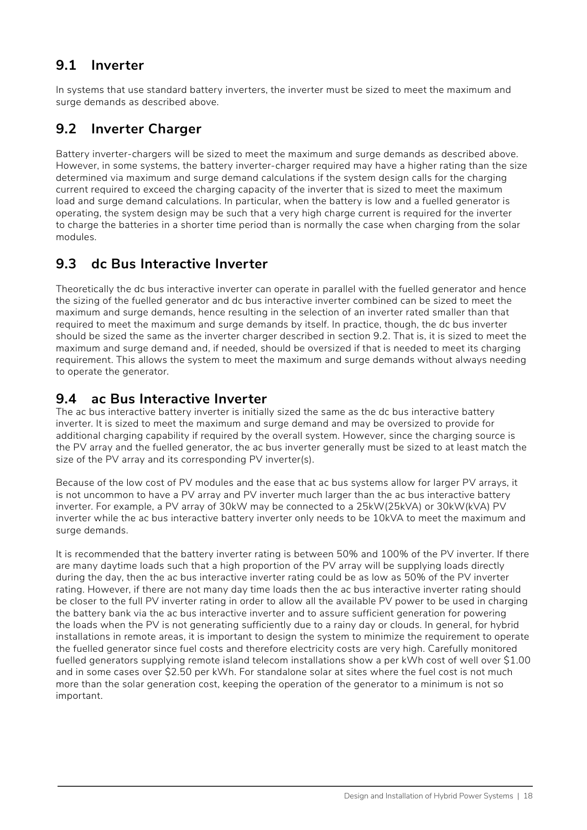### **9.1 Inverter**

In systems that use standard battery inverters, the inverter must be sized to meet the maximum and surge demands as described above.

### **9.2 Inverter Charger**

Battery inverter-chargers will be sized to meet the maximum and surge demands as described above. However, in some systems, the battery inverter-charger required may have a higher rating than the size determined via maximum and surge demand calculations if the system design calls for the charging current required to exceed the charging capacity of the inverter that is sized to meet the maximum load and surge demand calculations. In particular, when the battery is low and a fuelled generator is operating, the system design may be such that a very high charge current is required for the inverter to charge the batteries in a shorter time period than is normally the case when charging from the solar modules.

### **9.3 dc Bus Interactive Inverter**

Theoretically the dc bus interactive inverter can operate in parallel with the fuelled generator and hence the sizing of the fuelled generator and dc bus interactive inverter combined can be sized to meet the maximum and surge demands, hence resulting in the selection of an inverter rated smaller than that required to meet the maximum and surge demands by itself. In practice, though, the dc bus inverter should be sized the same as the inverter charger described in section 9.2. That is, it is sized to meet the maximum and surge demand and, if needed, should be oversized if that is needed to meet its charging requirement. This allows the system to meet the maximum and surge demands without always needing to operate the generator.

### **9.4 ac Bus Interactive Inverter**

The ac bus interactive battery inverter is initially sized the same as the dc bus interactive battery inverter. It is sized to meet the maximum and surge demand and may be oversized to provide for additional charging capability if required by the overall system. However, since the charging source is the PV array and the fuelled generator, the ac bus inverter generally must be sized to at least match the size of the PV array and its corresponding PV inverter(s).

Because of the low cost of PV modules and the ease that ac bus systems allow for larger PV arrays, it is not uncommon to have a PV array and PV inverter much larger than the ac bus interactive battery inverter. For example, a PV array of 30kW may be connected to a 25kW(25kVA) or 30kW(kVA) PV inverter while the ac bus interactive battery inverter only needs to be 10kVA to meet the maximum and surge demands.

It is recommended that the battery inverter rating is between 50% and 100% of the PV inverter. If there are many daytime loads such that a high proportion of the PV array will be supplying loads directly during the day, then the ac bus interactive inverter rating could be as low as 50% of the PV inverter rating. However, if there are not many day time loads then the ac bus interactive inverter rating should be closer to the full PV inverter rating in order to allow all the available PV power to be used in charging the battery bank via the ac bus interactive inverter and to assure sufficient generation for powering the loads when the PV is not generating sufficiently due to a rainy day or clouds. In general, for hybrid installations in remote areas, it is important to design the system to minimize the requirement to operate the fuelled generator since fuel costs and therefore electricity costs are very high. Carefully monitored fuelled generators supplying remote island telecom installations show a per kWh cost of well over \$1.00 and in some cases over \$2.50 per kWh. For standalone solar at sites where the fuel cost is not much more than the solar generation cost, keeping the operation of the generator to a minimum is not so important.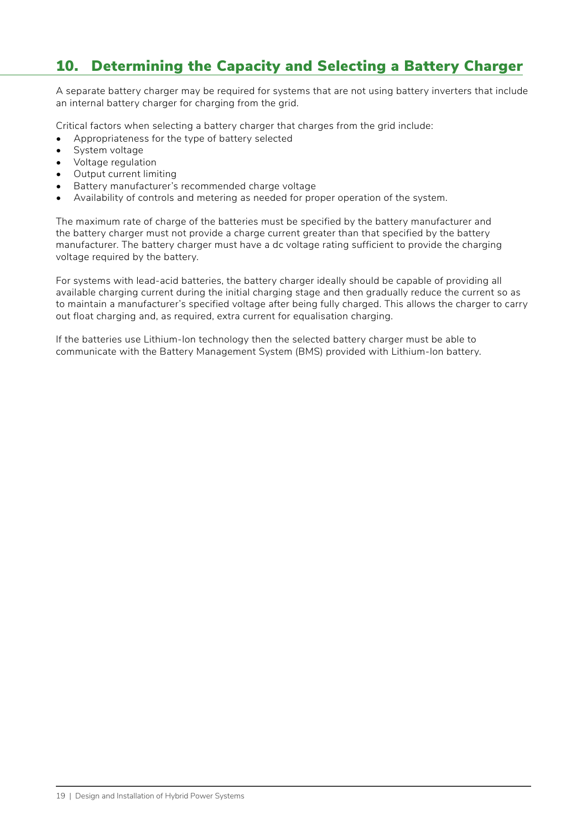## 10. Determining the Capacity and Selecting a Battery Charger

A separate battery charger may be required for systems that are not using battery inverters that include an internal battery charger for charging from the grid.

Critical factors when selecting a battery charger that charges from the grid include:

- Appropriateness for the type of battery selected
- System voltage
- Voltage regulation
- Output current limiting
- Battery manufacturer's recommended charge voltage
- Availability of controls and metering as needed for proper operation of the system.

The maximum rate of charge of the batteries must be specified by the battery manufacturer and the battery charger must not provide a charge current greater than that specified by the battery manufacturer. The battery charger must have a dc voltage rating sufficient to provide the charging voltage required by the battery.

For systems with lead-acid batteries, the battery charger ideally should be capable of providing all available charging current during the initial charging stage and then gradually reduce the current so as to maintain a manufacturer's specified voltage after being fully charged. This allows the charger to carry out float charging and, as required, extra current for equalisation charging.

If the batteries use Lithium-Ion technology then the selected battery charger must be able to communicate with the Battery Management System (BMS) provided with Lithium-Ion battery.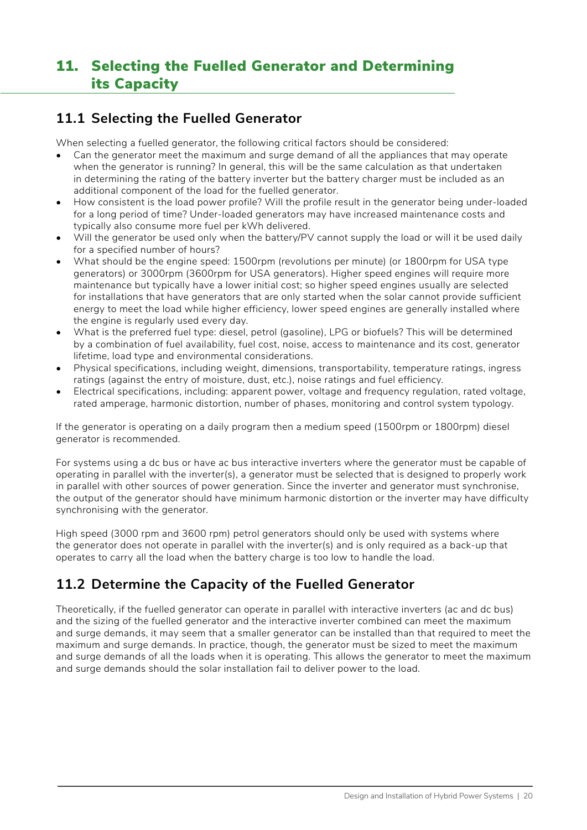## 11. Selecting the Fuelled Generator and Determining its Capacity

### **11.1 Selecting the Fuelled Generator**

When selecting a fuelled generator, the following critical factors should be considered:

- Can the generator meet the maximum and surge demand of all the appliances that may operate when the generator is running? In general, this will be the same calculation as that undertaken in determining the rating of the battery inverter but the battery charger must be included as an additional component of the load for the fuelled generator.
- How consistent is the load power profile? Will the profile result in the generator being under-loaded for a long period of time? Under-loaded generators may have increased maintenance costs and typically also consume more fuel per kWh delivered.
- Will the generator be used only when the battery/PV cannot supply the load or will it be used daily for a specified number of hours?
- What should be the engine speed: 1500rpm (revolutions per minute) (or 1800rpm for USA type generators) or 3000rpm (3600rpm for USA generators). Higher speed engines will require more maintenance but typically have a lower initial cost; so higher speed engines usually are selected for installations that have generators that are only started when the solar cannot provide sufficient energy to meet the load while higher efficiency, lower speed engines are generally installed where the engine is regularly used every day.
- What is the preferred fuel type: diesel, petrol (gasoline), LPG or biofuels? This will be determined by a combination of fuel availability, fuel cost, noise, access to maintenance and its cost, generator lifetime, load type and environmental considerations.
- Physical specifications, including weight, dimensions, transportability, temperature ratings, ingress ratings (against the entry of moisture, dust, etc.), noise ratings and fuel efficiency.
- Electrical specifications, including: apparent power, voltage and frequency regulation, rated voltage, rated amperage, harmonic distortion, number of phases, monitoring and control system typology.

If the generator is operating on a daily program then a medium speed (1500rpm or 1800rpm) diesel generator is recommended.

For systems using a dc bus or have ac bus interactive inverters where the generator must be capable of operating in parallel with the inverter(s), a generator must be selected that is designed to properly work in parallel with other sources of power generation. Since the inverter and generator must synchronise, the output of the generator should have minimum harmonic distortion or the inverter may have difficulty synchronising with the generator.

High speed (3000 rpm and 3600 rpm) petrol generators should only be used with systems where the generator does not operate in parallel with the inverter(s) and is only required as a back-up that operates to carry all the load when the battery charge is too low to handle the load.

### **11.2 Determine the Capacity of the Fuelled Generator**

Theoretically, if the fuelled generator can operate in parallel with interactive inverters (ac and dc bus) and the sizing of the fuelled generator and the interactive inverter combined can meet the maximum and surge demands, it may seem that a smaller generator can be installed than that required to meet the maximum and surge demands. In practice, though, the generator must be sized to meet the maximum and surge demands of all the loads when it is operating. This allows the generator to meet the maximum and surge demands should the solar installation fail to deliver power to the load.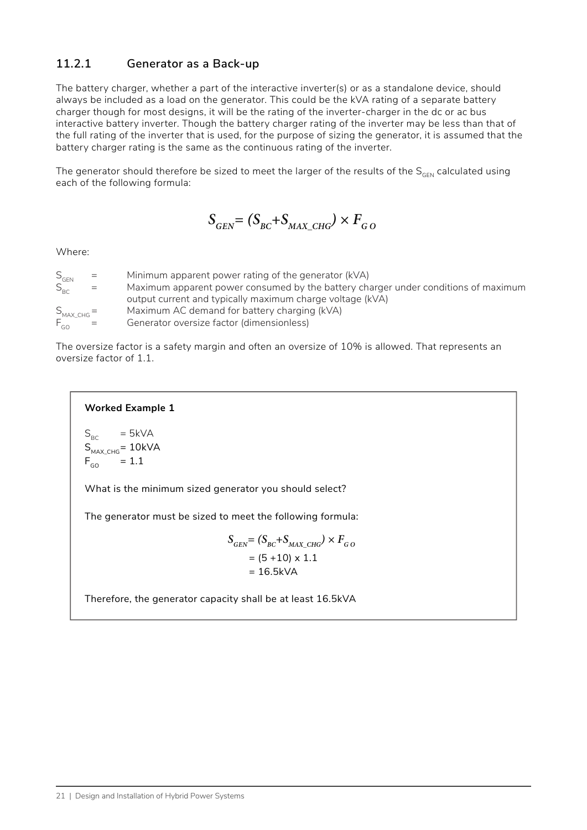### **11.2.1 Generator as a Back-up**

The battery charger, whether a part of the interactive inverter(s) or as a standalone device, should always be included as a load on the generator. This could be the kVA rating of a separate battery charger though for most designs, it will be the rating of the inverter-charger in the dc or ac bus interactive battery inverter. Though the battery charger rating of the inverter may be less than that of the full rating of the inverter that is used, for the purpose of sizing the generator, it is assumed that the battery charger rating is the same as the continuous rating of the inverter.

The generator should therefore be sized to meet the larger of the results of the  $S_{GEN}$  calculated using each of the following formula:

 $S_{\text{GEN}} = (S_{\text{BC}} + S_{\text{MAX-CHG}}) \times F_{\text{GO}}$ 

Where:

| $S_{\scriptscriptstyle \textsf{GEN}}$ | $=$ | Minimum apparent power rating of the generator (kVA)                               |
|---------------------------------------|-----|------------------------------------------------------------------------------------|
| $S_{BC}$                              | $=$ | Maximum apparent power consumed by the battery charger under conditions of maximum |
|                                       |     | output current and typically maximum charge voltage (kVA)                          |
| $S_{MAX\_CHG} =$                      |     | Maximum AC demand for battery charging (kVA)                                       |
| $F_{\scriptscriptstyle{GO}}$ =        |     | Generator oversize factor (dimensionless)                                          |
|                                       |     |                                                                                    |

The oversize factor is a safety margin and often an oversize of 10% is allowed. That represents an oversize factor of 1.1.

#### **Worked Example 1**

$$
S_{BC} = 5kVA
$$
  
\n
$$
S_{MAX_CHG} = 10kVA
$$
  
\n
$$
F_{GO} = 1.1
$$

What is the minimum sized generator you should select?

The generator must be sized to meet the following formula:

$$
S_{GEN} = (S_{BC} + S_{MAX\_CHG}) \times F_{GO}
$$
  
= (5 + 10) × 1.1  
= 16.5kVA

Therefore, the generator capacity shall be at least 16.5kVA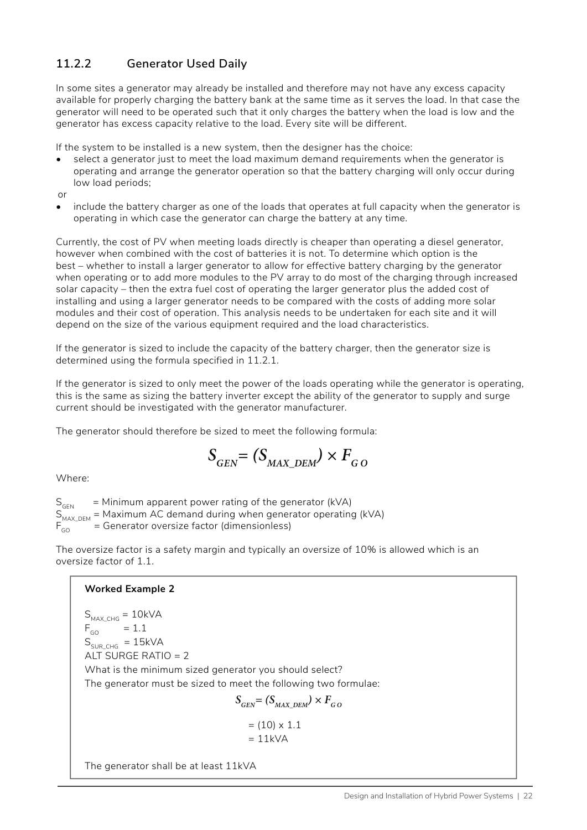### **11.2.2 Generator Used Daily**

In some sites a generator may already be installed and therefore may not have any excess capacity available for properly charging the battery bank at the same time as it serves the load. In that case the generator will need to be operated such that it only charges the battery when the load is low and the generator has excess capacity relative to the load. Every site will be different.

If the system to be installed is a new system, then the designer has the choice:

- select a generator just to meet the load maximum demand requirements when the generator is operating and arrange the generator operation so that the battery charging will only occur during low load periods;
- or
- include the battery charger as one of the loads that operates at full capacity when the generator is operating in which case the generator can charge the battery at any time.

Currently, the cost of PV when meeting loads directly is cheaper than operating a diesel generator, however when combined with the cost of batteries it is not. To determine which option is the best – whether to install a larger generator to allow for effective battery charging by the generator when operating or to add more modules to the PV array to do most of the charging through increased solar capacity – then the extra fuel cost of operating the larger generator plus the added cost of installing and using a larger generator needs to be compared with the costs of adding more solar modules and their cost of operation. This analysis needs to be undertaken for each site and it will depend on the size of the various equipment required and the load characteristics.

If the generator is sized to include the capacity of the battery charger, then the generator size is determined using the formula specified in 11.2.1.

If the generator is sized to only meet the power of the loads operating while the generator is operating, this is the same as sizing the battery inverter except the ability of the generator to supply and surge current should be investigated with the generator manufacturer.

The generator should therefore be sized to meet the following formula:

$$
S_{\rm GEN} = (S_{\rm MAX\_DEM}) \times F_{\rm GO}
$$

Where:

 $S<sub>GEN</sub>$  = Minimum apparent power rating of the generator (kVA)  $S_{MAX\_DEM}^{S_{MAX}}$  = Maximum AC demand during when generator operating (kVA)  $F_{CA}$  = Generator oversize factor (dimensionless) = Generator oversize factor (dimensionless)

The oversize factor is a safety margin and typically an oversize of 10% is allowed which is an oversize factor of 1.1.

#### **Worked Example 2**

 $S_{MAXCHG} = 10kVA$  $F_{GO}$  = 1.1  $S_{SUBCHG}$  = 15kVA ALT SURGE RATIO  $= 2$ What is the minimum sized generator you should select? The generator must be sized to meet the following two formulae:  $S_{\text{grav}} = (S_{\text{MAX-DEM}}) \times F_{\text{CO}}$ 

$$
= (10) \times 1.1
$$

$$
= 11kVA
$$

The generator shall be at least 11kVA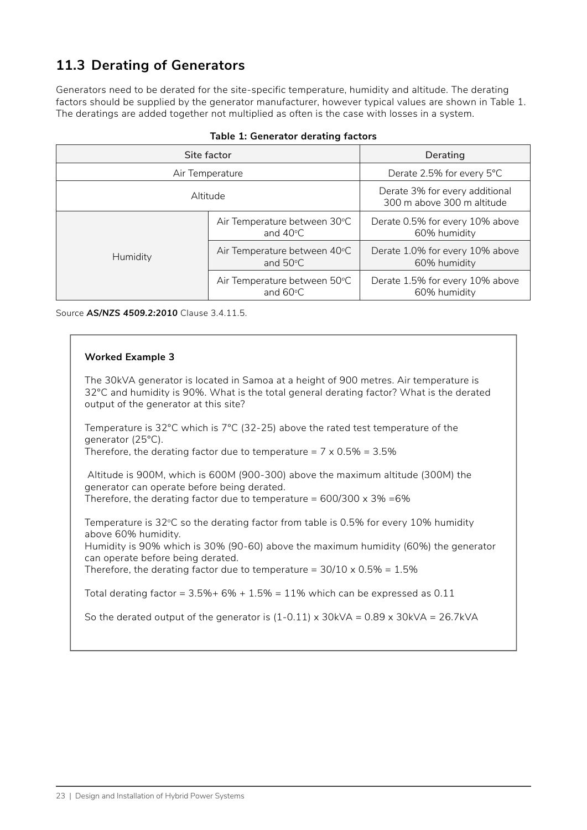## **11.3 Derating of Generators**

Generators need to be derated for the site-specific temperature, humidity and altitude. The derating factors should be supplied by the generator manufacturer, however typical values are shown in [Table 1](#page-29-0). The deratings are added together not multiplied as often is the case with losses in a system.

| Site factor     |                                                    | Derating                                                     |
|-----------------|----------------------------------------------------|--------------------------------------------------------------|
| Air Temperature |                                                    | Derate 2.5% for every 5°C                                    |
| Altitude        |                                                    | Derate 3% for every additional<br>300 m above 300 m altitude |
|                 | Air Temperature between 30°C<br>and $40^{\circ}$ C | Derate 0.5% for every 10% above<br>60% humidity              |
| Humidity        | Air Temperature between 40°C<br>and $50^{\circ}$ C | Derate 1.0% for every 10% above<br>60% humidity              |
|                 | Air Temperature between 50°C<br>and $60^{\circ}$ C | Derate 1.5% for every 10% above<br>60% humidity              |

<span id="page-29-0"></span>

|  |  | Table 1: Generator derating factors |  |  |
|--|--|-------------------------------------|--|--|
|--|--|-------------------------------------|--|--|

Source *AS/NZS 4509.2:2010* Clause 3.4.11.5.

#### **Worked Example 3**

The 30kVA generator is located in Samoa at a height of 900 metres. Air temperature is 32°C and humidity is 90%. What is the total general derating factor? What is the derated output of the generator at this site?

Temperature is 32°C which is 7°C (32-25) above the rated test temperature of the generator (25°C).

Therefore, the derating factor due to temperature =  $7 \times 0.5\% = 3.5\%$ 

 Altitude is 900M, which is 600M (900-300) above the maximum altitude (300M) the generator can operate before being derated. Therefore, the derating factor due to temperature =  $600/300 \times 3\% = 6\%$ 

Temperature is 32°C so the derating factor from table is 0.5% for every 10% humidity above 60% humidity.

Humidity is 90% which is 30% (90-60) above the maximum humidity (60%) the generator can operate before being derated.

Therefore, the derating factor due to temperature =  $30/10 \times 0.5\% = 1.5\%$ 

Total derating factor =  $3.5\% + 6\% + 1.5\% = 11\%$  which can be expressed as 0.11

So the derated output of the generator is  $(1-0.11) \times 30$  kVA = 0.89 x 30 kVA = 26.7 kVA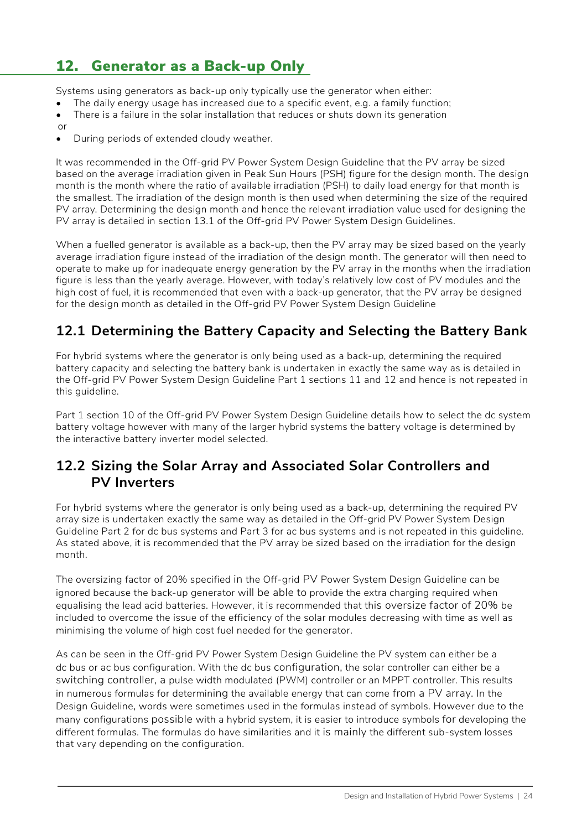## 12. Generator as a Back-up Only

Systems using generators as back-up only typically use the generator when either:

- The daily energy usage has increased due to a specific event, e.g. a family function;
- There is a failure in the solar installation that reduces or shuts down its generation
- or
- During periods of extended cloudy weather.

It was recommended in the Off-grid PV Power System Design Guideline that the PV array be sized based on the average irradiation given in Peak Sun Hours (PSH) figure for the design month. The design month is the month where the ratio of available irradiation (PSH) to daily load energy for that month is the smallest. The irradiation of the design month is then used when determining the size of the required PV array. Determining the design month and hence the relevant irradiation value used for designing the PV array is detailed in section 13.1 of the Off-grid PV Power System Design Guidelines.

When a fuelled generator is available as a back-up, then the PV array may be sized based on the yearly average irradiation figure instead of the irradiation of the design month. The generator will then need to operate to make up for inadequate energy generation by the PV array in the months when the irradiation figure is less than the yearly average. However, with today's relatively low cost of PV modules and the high cost of fuel, it is recommended that even with a back-up generator, that the PV array be designed for the design month as detailed in the Off-grid PV Power System Design Guideline

### **12.1 Determining the Battery Capacity and Selecting the Battery Bank**

For hybrid systems where the generator is only being used as a back-up, determining the required battery capacity and selecting the battery bank is undertaken in exactly the same way as is detailed in the Off-grid PV Power System Design Guideline Part 1 sections 11 and 12 and hence is not repeated in this guideline.

Part 1 section 10 of the Off-grid PV Power System Design Guideline details how to select the dc system battery voltage however with many of the larger hybrid systems the battery voltage is determined by the interactive battery inverter model selected.

### **12.2 Sizing the Solar Array and Associated Solar Controllers and PV Inverters**

For hybrid systems where the generator is only being used as a back-up, determining the required PV array size is undertaken exactly the same way as detailed in the Off-grid PV Power System Design Guideline Part 2 for dc bus systems and Part 3 for ac bus systems and is not repeated in this guideline. As stated above, it is recommended that the PV array be sized based on the irradiation for the design month.

The oversizing factor of 20% specified in the Off-grid PV Power System Design Guideline can be ignored because the back-up generator will be able to provide the extra charging required when equalising the lead acid batteries. However, it is recommended that this oversize factor of 20% be included to overcome the issue of the efficiency of the solar modules decreasing with time as well as minimising the volume of high cost fuel needed for the generator.

As can be seen in the Off-grid PV Power System Design Guideline the PV system can either be a dc bus or ac bus configuration. With the dc bus configuration, the solar controller can either be a switching controller, a pulse width modulated (PWM) controller or an MPPT controller. This results in numerous formulas for determining the available energy that can come from a PV array. In the Design Guideline, words were sometimes used in the formulas instead of symbols. However due to the many configurations possible with a hybrid system, it is easier to introduce symbols for developing the different formulas. The formulas do have similarities and it is mainly the different sub-system losses that vary depending on the configuration.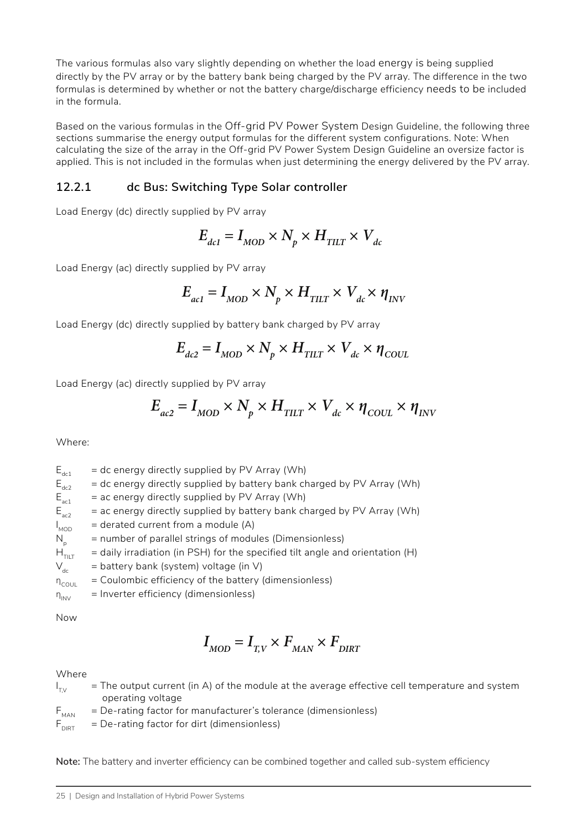The various formulas also vary slightly depending on whether the load energy is being supplied directly by the PV array or by the battery bank being charged by the PV array. The difference in the two formulas is determined by whether or not the battery charge/discharge efficiency needs to be included in the formula.

Based on the various formulas in the Off-grid PV Power System Design Guideline, the following three sections summarise the energy output formulas for the different system configurations. Note: When calculating the size of the array in the Off-grid PV Power System Design Guideline an oversize factor is applied. This is not included in the formulas when just determining the energy delivered by the PV array.

### **12.2.1 dc Bus: Switching Type Solar controller**

Load Energy (dc) directly supplied by PV array

$$
E_{_{dcl}} = I_{_{MOD}} \times N_{_p} \times H_{_{TILT}} \times V_{_{dc}}
$$

Load Energy (ac) directly supplied by PV array

$$
E_{_{ac1}}=I_{_{MOD}}\times N_{_p}\times H_{_{TILT}}\times V_{_{dc}}\times \eta_{_{INV}}
$$

Load Energy (dc) directly supplied by battery bank charged by PV array

$$
E_{dc2} = I_{MOD} \times N_p \times H_{TILT} \times V_{dc} \times \eta_{COLL}
$$

Load Energy (ac) directly supplied by PV array

$$
E_{ac2} = I_{MOD} \times N_p \times H_{TILT} \times V_{dc} \times \eta_{COUT} \times \eta_{INV}
$$

Where:

 $E_{\text{det}}$  = dc energy directly supplied by PV Array (Wh)  $E_{\text{max}}$  = dc energy directly supplied by battery bank charged by PV Array (Wh)  $E_{\text{act}}$  = ac energy directly supplied by PV Array (Wh)<br> $E_{\text{cat}}$  = ac energy directly supplied by battery bank ch  $=$  ac energy directly supplied by battery bank charged by PV Array (Wh)  $I_{\text{MOD}}$  $=$  derated current from a module (A)  $N<sub>n</sub>$  = number of parallel strings of modules (Dimensionless)  $H<sub>TUT</sub>$  = daily irradiation (in PSH) for the specified tilt angle and orientation (H)  $V_{dc}$  = battery bank (system) voltage (in V)  $\eta_{\text{coul}}$  = Coulombic efficiency of the battery (dimensionless)

 $\eta_{\text{INV}}$  = Inverter efficiency (dimensionless)

Now

$$
I_{\rm{MOD}}=I_{\rm{T,V}}\times F_{\rm{MAN}}\times F_{\rm{DIRT}}
$$

Where

- $I_{\tau v}$  $T$  = The output current (in A) of the module at the average effective cell temperature and system operating voltage
- $F_{\text{max}}$  = De-rating factor for manufacturer's tolerance (dimensionless)

 $F_{\text{DIRT}}$  = De-rating factor for dirt (dimensionless)

**Note:** The battery and inverter efficiency can be combined together and called sub-system efficiency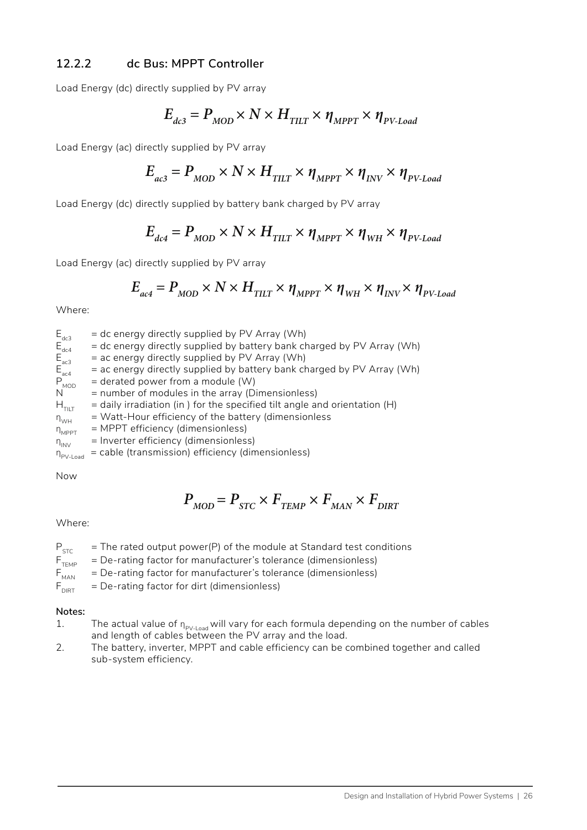### **12.2.2 dc Bus: MPPT Controller**

Load Energy (dc) directly supplied by PV array

$$
E_{_{dc3}} = P_{_{MOD}} \times N \times H_{_{TILT}} \times \eta_{_{MPPT}} \times \eta_{_{PV\text{-}load}}
$$

Load Energy (ac) directly supplied by PV array

$$
E_{_{ac3}} = P_{_{MOD}} \times N \times H_{_{TILT}} \times \eta_{_{MPPT}} \times \eta_{_{INV}} \times \eta_{_{PV\text{-}load}}
$$

Load Energy (dc) directly supplied by battery bank charged by PV array

$$
E_{_{dc4}} = P_{_{MOD}} \times N \times H_{_{TILT}} \times \eta_{_{MPPT}} \times \eta_{_{WH}} \times \eta_{_{PV\text{-}Load}}
$$

Load Energy (ac) directly supplied by PV array

$$
E_{ac4} = P_{MOD} \times N \times H_{TILT} \times \eta_{MPPT} \times \eta_{WH} \times \eta_{INV} \times \eta_{PV\text{-}load}
$$

Where:

| $E_{dc3}$                      | = dc energy directly supplied by PV Array (Wh)                              |
|--------------------------------|-----------------------------------------------------------------------------|
| $E_{\text{dc4}}$               | = dc energy directly supplied by battery bank charged by PV Array (Wh)      |
| $E_{\text{ac3}}$               | = ac energy directly supplied by PV Array (Wh)                              |
| $E_{\text{ac4}}$               | = ac energy directly supplied by battery bank charged by PV Array (Wh)      |
| $P_{MOD}$                      | $=$ derated power from a module (W)                                         |
| N                              | = number of modules in the array (Dimensionless)                            |
| $H_{\tau \parallel \tau}$      | $=$ daily irradiation (in) for the specified tilt angle and orientation (H) |
| $n_{WH}$                       | = Watt-Hour efficiency of the battery (dimensionless                        |
| $n_{MPPT}$                     | = MPPT efficiency (dimensionless)                                           |
| $n_{\text{INV}}$               | = Inverter efficiency (dimensionless)                                       |
| $\eta_{PV\text{-}\text{Load}}$ | = cable (transmission) efficiency (dimensionless)                           |
|                                |                                                                             |

Now

$$
P_{\text{MOD}} = P_{\text{STC}} \times F_{\text{TEMP}} \times F_{\text{MAN}} \times F_{\text{DIRT}}
$$

#### Where:

- $P_{STC}$  = The rated output power(P) of the module at Standard test conditions<br> $F_{TFMP}$  = De-rating factor for manufacturer's tolerance (dimensionless)
- 
- $F<sub>TEMP</sub>$  = De-rating factor for manufacturer's tolerance (dimensionless)<br> $F<sub>MAN</sub>$  = De-rating factor for manufacturer's tolerance (dimensionless) = De-rating factor for manufacturer's tolerance (dimensionless)
- $F_{DIRT}$  = De-rating factor for dirt (dimensionless)

#### **Notes:**

- 1. The actual value of  $_{\mathsf{P}_{\mathsf{PV}\text{-}\mathsf{load}}}$  will vary for each formula depending on the number of cables and length of cables between the PV array and the load.
- 2. The battery, inverter, MPPT and cable efficiency can be combined together and called sub-system efficiency.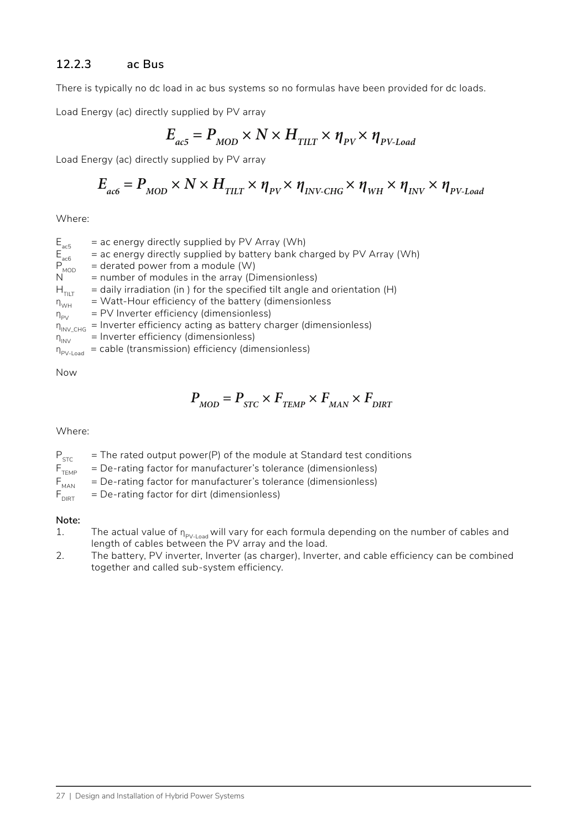### **12.2.3 ac Bus**

There is typically no dc load in ac bus systems so no formulas have been provided for dc loads.

Load Energy (ac) directly supplied by PV array

$$
E_{_{ac5}} = P_{_{MOD}} \times N \times H_{_{TILT}} \times \eta_{_{PV}} \times \eta_{_{PV\text{-}Load}}
$$

Load Energy (ac) directly supplied by PV array

$$
E_{ac6} = P_{MOD} \times N \times H_{TLT} \times \eta_{PV} \times \eta_{INV\text{-CHG}} \times \eta_{WH} \times \eta_{INV} \times \eta_{PV\text{-}load}
$$

Where:

 $E_{\text{ac5}}$  = ac energy directly supplied by PV Array (Wh)<br>
= ac energy directly supplied by battery bank ch<br>
P<sub>MOD</sub> = derated power from a module (W)  $=$  ac energy directly supplied by battery bank charged by PV Array (Wh)  $P_{MOD}^{TOD}$  = derated power from a module (W)<br>N = number of modules in the array (D)  $N =$  number of modules in the array (Dimensionless)<br> $H_{\text{max}} =$  daily irradiation (in ) for the specified tilt angle are  $=$  daily irradiation (in ) for the specified tilt angle and orientation (H)  $\eta_{WH}$  = Watt-Hour efficiency of the battery (dimensionless  $\eta_{\text{pv}}^{(0)}$  = PV Inverter efficiency (dimensionless)  $\eta_{\text{INV\_CHG}}^{T*}$  = Inverter efficiency acting as battery charger (dimensionless)<br> $\eta_{\text{INV}}$  = Inverter efficiency (dimensionless) = Inverter efficiency (dimensionless)  $\eta_{\text{PV-load}}$  = cable (transmission) efficiency (dimensionless)

Now

$$
P_{\text{MOD}} = P_{\text{STC}} \times F_{\text{TEMP}} \times F_{\text{MAN}} \times F_{\text{DIRT}}
$$

#### Where:

 $P_{STC}$  = The rated output power(P) of the module at Standard test conditions<br> $F_{TEMD}$  = De-rating factor for manufacturer's tolerance (dimensionless)

= De-rating factor for manufacturer's tolerance (dimensionless)

 $F_{MAN}$  = De-rating factor for manufacturer's tolerance (dimensionless)

 $F_{\text{DIRT}}$  = De-rating factor for dirt (dimensionless)

#### **Note:**

- 1. The actual value of  $n_{p_{V\text{-}load}}$  will vary for each formula depending on the number of cables and length of cables between the PV array and the load.
- 2. The battery, PV inverter, Inverter (as charger), Inverter, and cable efficiency can be combined together and called sub-system efficiency.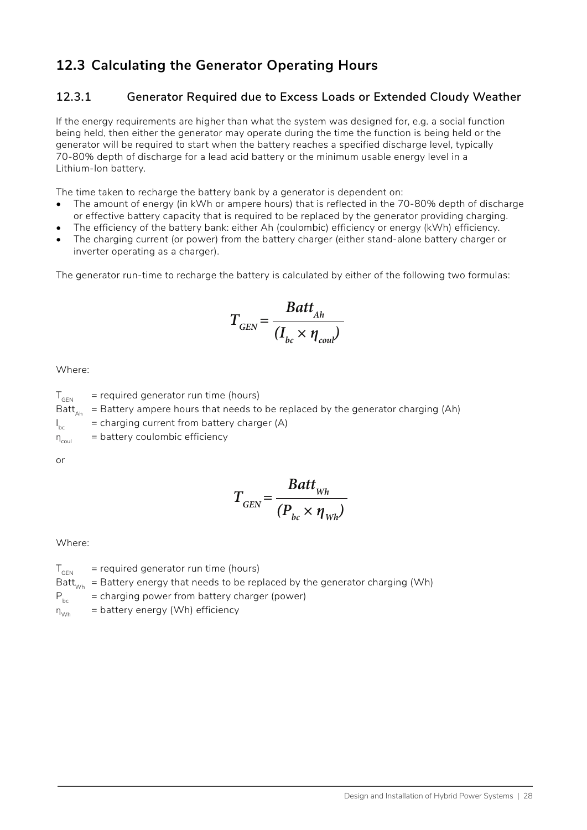### **12.3 Calculating the Generator Operating Hours**

### **12.3.1 Generator Required due to Excess Loads or Extended Cloudy Weather**

If the energy requirements are higher than what the system was designed for, e.g. a social function being held, then either the generator may operate during the time the function is being held or the generator will be required to start when the battery reaches a specified discharge level, typically 70-80% depth of discharge for a lead acid battery or the minimum usable energy level in a Lithium-Ion battery.

The time taken to recharge the battery bank by a generator is dependent on:

- The amount of energy (in kWh or ampere hours) that is reflected in the 70-80% depth of discharge or effective battery capacity that is required to be replaced by the generator providing charging.
- The efficiency of the battery bank: either Ah (coulombic) efficiency or energy (kWh) efficiency.
- The charging current (or power) from the battery charger (either stand-alone battery charger or inverter operating as a charger).

The generator run-time to recharge the battery is calculated by either of the following two formulas:

$$
T_{GEN} = \frac{Batt_{Ah}}{(I_{bc} \times \eta_{coul})}
$$

Where:

 $T<sub>GEN</sub>$  = required generator run time (hours) Batt<sub> $A_{hh}$ </sub> = Battery ampere hours that needs to be replaced by the generator charging (Ah)  $I_{\rm bc}$  $b =$  charging current from battery charger (A)  $\eta_{\text{coul}}$  = battery coulombic efficiency

or

$$
T_{GEN} = \frac{Batt_{Wh}}{(P_{bc} \times \eta_{Wh})}
$$

Where:

 $T<sub>GEN</sub>$  = required generator run time (hours) Batt<sub>wh</sub> = Battery energy that needs to be replaced by the generator charging (Wh)  $P_{bc}$  = charging power from battery charger (power)

 $\eta_{w_h}$  = battery energy (Wh) efficiency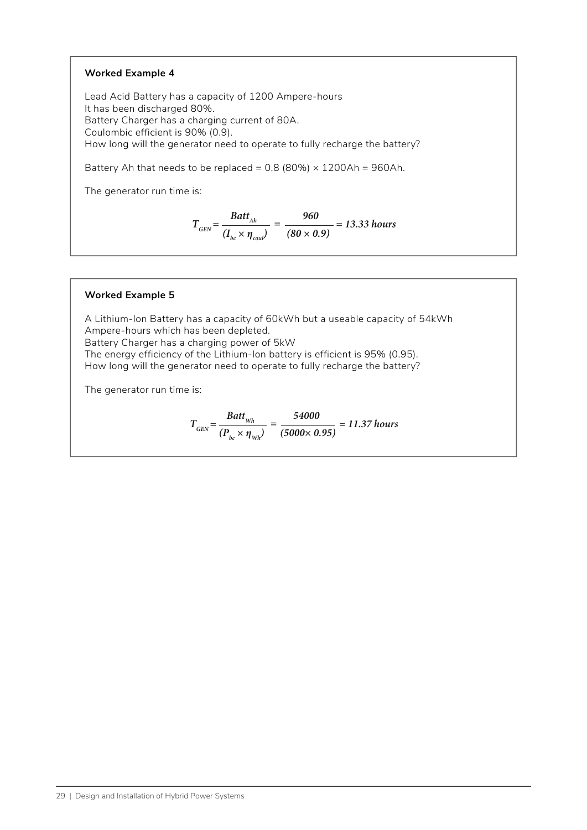#### **Worked Example 4**

Lead Acid Battery has a capacity of 1200 Ampere-hours It has been discharged 80%. Battery Charger has a charging current of 80A. Coulombic efficient is 90% (0.9). How long will the generator need to operate to fully recharge the battery?

Battery Ah that needs to be replaced =  $0.8$  (80%)  $\times$  1200Ah = 960Ah.

The generator run time is:

$$
T_{\text{GEN}} = \frac{Batt_{\text{Ah}}}{(I_{bc} \times \eta_{\text{coul}})} = \frac{960}{(80 \times 0.9)} = 13.33 \text{ hours}
$$

#### **Worked Example 5**

A Lithium-Ion Battery has a capacity of 60kWh but a useable capacity of 54kWh Ampere-hours which has been depleted. Battery Charger has a charging power of 5kW The energy efficiency of the Lithium-Ion battery is efficient is 95% (0.95). How long will the generator need to operate to fully recharge the battery?

The generator run time is:

$$
T_{\text{GEN}} = \frac{Batt_{\text{Wh}}}{(P_{\text{bc}} \times \eta_{\text{Wh}})} = \frac{54000}{(5000 \times 0.95)} = 11.37 \text{ hours}
$$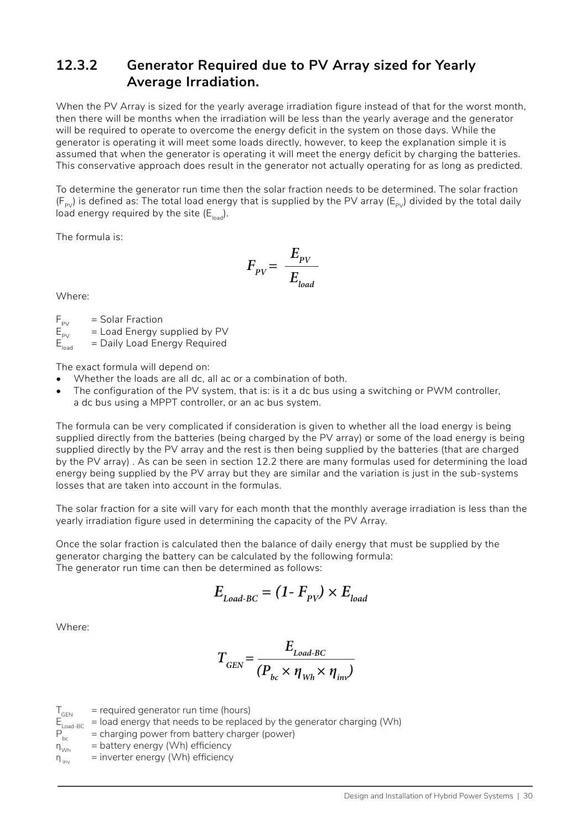### **12.3.2 Generator Required due to PV Array sized for Yearly Average Irradiation.**

When the PV Array is sized for the yearly average irradiation figure instead of that for the worst month, then there will be months when the irradiation will be less than the yearly average and the generator will be required to operate to overcome the energy deficit in the system on those days. While the generator is operating it will meet some loads directly, however, to keep the explanation simple it is assumed that when the generator is operating it will meet the energy deficit by charging the batteries. This conservative approach does result in the generator not actually operating for as long as predicted.

To determine the generator run time then the solar fraction needs to be determined. The solar fraction  $(F_{pV})$  is defined as: The total load energy that is supplied by the PV array ( $E_{pV}$ ) divided by the total daily load energy required by the site  $(E_{\text{load}})$ .

The formula is:

$$
F_{\scriptscriptstyle PV} = \frac{E_{\scriptscriptstyle PV}}{E_{\scriptscriptstyle load}}
$$

Where:

 $F_{PV}$  = Solar Fraction<br> $E_{QVI}$  = Load Energy s

 $E_{\text{py}}$  = Load Energy supplied by PV<br> $E_{\text{load}}$  = Daily Load Energy Required  $=$  Daily Load Energy Required

The exact formula will depend on:

- Whether the loads are all dc, all ac or a combination of both.
- The configuration of the PV system, that is: is it a dc bus using a switching or PWM controller, a dc bus using a MPPT controller, or an ac bus system.

The formula can be very complicated if consideration is given to whether all the load energy is being supplied directly from the batteries (being charged by the PV array) or some of the load energy is being supplied directly by the PV array and the rest is then being supplied by the batteries (that are charged by the PV array) . As can be seen in section 12.2 there are many formulas used for determining the load energy being supplied by the PV array but they are similar and the variation is just in the sub-systems losses that are taken into account in the formulas.

The solar fraction for a site will vary for each month that the monthly average irradiation is less than the yearly irradiation figure used in determining the capacity of the PV Array.

Once the solar fraction is calculated then the balance of daily energy that must be supplied by the generator charging the battery can be calculated by the following formula: The generator run time can then be determined as follows:

$$
E_{Load\text{-}BC} = (1 - F_{PV}) \times E_{load}
$$

Where:

$$
T_{GEN} = \frac{E_{Load\text{-}BC}}{(P_{bc} \times \eta_{Wh} \times \eta_{inv})}
$$

 $T<sub>GEN</sub>$  = required generator run time (hours)<br> $E<sub>load-BC</sub>$  = load energy that needs to be replace  $E_{\text{load-BC}}^{\text{ECN}}$  = load energy that needs to be replaced by the generator charging (Wh)<br>  $P_{\text{bc}}$  = charging power from battery charger (power)  $P_{bc}^{200}$  = charging power from battery charger (power)<br>  $P_{Nwh}$  = battery energy (Wh) efficiency = battery energy (Wh) efficiency  $\eta_{\text{inv}}$  = inverter energy (Wh) efficiency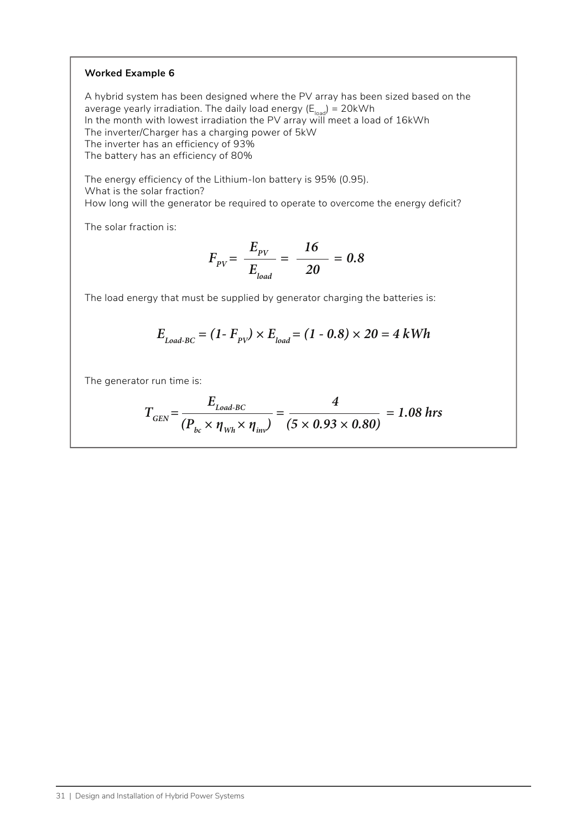#### **Worked Example 6**

A hybrid system has been designed where the PV array has been sized based on the average yearly irradiation. The daily load energy  $(E_{load}) = 20$ kWh In the month with lowest irradiation the PV array will meet a load of 16kWh The inverter/Charger has a charging power of 5kW The inverter has an efficiency of 93% The battery has an efficiency of 80%

The energy efficiency of the Lithium-Ion battery is 95% (0.95). What is the solar fraction? How long will the generator be required to operate to overcome the energy deficit?

The solar fraction is:

$$
F_{pV} = \frac{E_{pV}}{E_{load}} = \frac{16}{20} = 0.8
$$

The load energy that must be supplied by generator charging the batteries is:

$$
E_{Load\text{-}BC} = (1 - F_{PV}) \times E_{load} = (1 - 0.8) \times 20 = 4 \text{ kWh}
$$

The generator run time is:

$$
T_{\text{GEN}} = \frac{E_{\text{Load-BC}}}{(P_{bc} \times \eta_{Wh} \times \eta_{inv})} = \frac{4}{(5 \times 0.93 \times 0.80)} = 1.08 \text{ hrs}
$$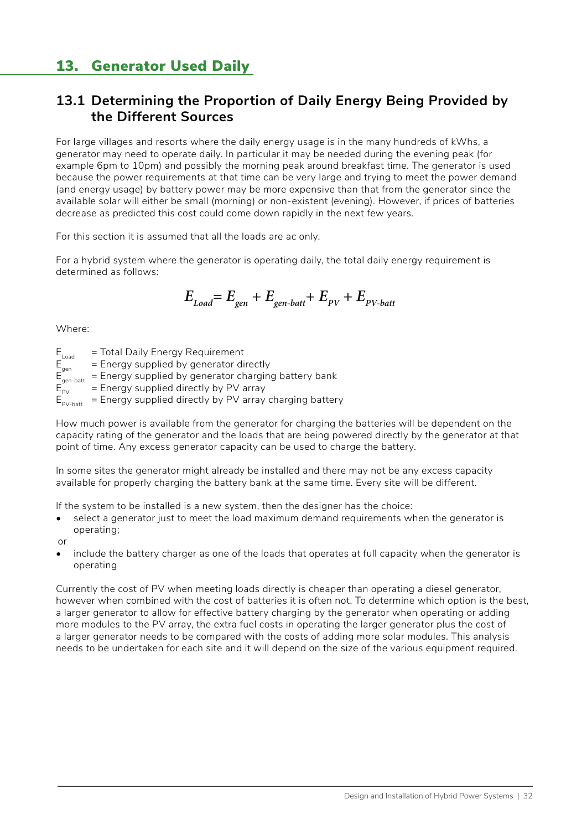## 13. Generator Used Daily

### **13.1 Determining the Proportion of Daily Energy Being Provided by the Different Sources**

For large villages and resorts where the daily energy usage is in the many hundreds of kWhs, a generator may need to operate daily. In particular it may be needed during the evening peak (for example 6pm to 10pm) and possibly the morning peak around breakfast time. The generator is used because the power requirements at that time can be very large and trying to meet the power demand (and energy usage) by battery power may be more expensive than that from the generator since the available solar will either be small (morning) or non-existent (evening). However, if prices of batteries decrease as predicted this cost could come down rapidly in the next few years.

For this section it is assumed that all the loads are ac only.

For a hybrid system where the generator is operating daily, the total daily energy requirement is determined as follows:

$$
E_{Load} = E_{gen} + E_{gen-batt} + E_{PV} + E_{PV-batt}
$$

Where:

 $E_{\text{Load}}$  = Total Daily Energy Requirement<br>F = Fnergy supplied by generator di

- $E_{gen}^{total}$  = Energy supplied by generator directly<br>F = Fnergy supplied by generator charging
- $E_{gen-batt}$  = Energy supplied by generator charging battery bank<br>  $E_{net}$  = Energy supplied directly by PV array
- $=$  Energy supplied directly by PV array
- $E_{\text{PV-batt}}$  = Energy supplied directly by PV array charging battery

How much power is available from the generator for charging the batteries will be dependent on the capacity rating of the generator and the loads that are being powered directly by the generator at that point of time. Any excess generator capacity can be used to charge the battery.

In some sites the generator might already be installed and there may not be any excess capacity available for properly charging the battery bank at the same time. Every site will be different.

If the system to be installed is a new system, then the designer has the choice:

select a generator just to meet the load maximum demand requirements when the generator is operating;

or

• include the battery charger as one of the loads that operates at full capacity when the generator is operating

Currently the cost of PV when meeting loads directly is cheaper than operating a diesel generator, however when combined with the cost of batteries it is often not. To determine which option is the best, a larger generator to allow for effective battery charging by the generator when operating or adding more modules to the PV array, the extra fuel costs in operating the larger generator plus the cost of a larger generator needs to be compared with the costs of adding more solar modules. This analysis needs to be undertaken for each site and it will depend on the size of the various equipment required.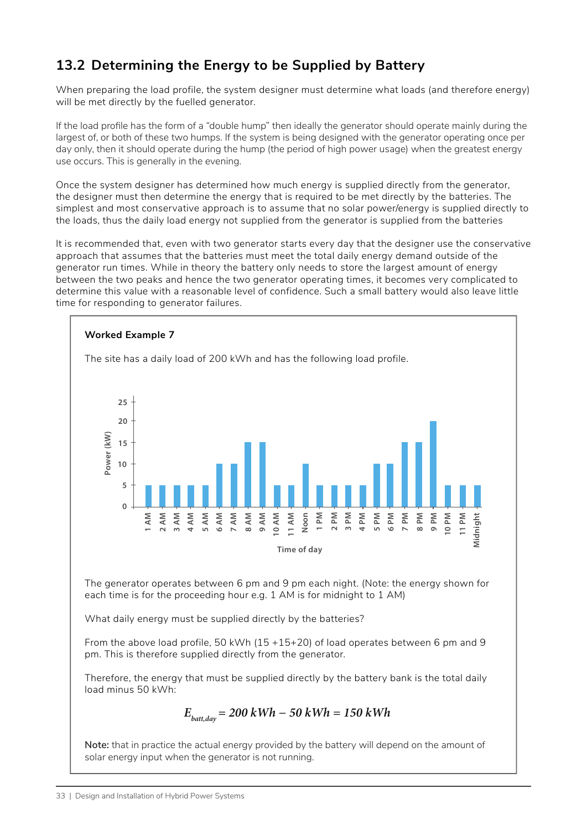## **13.2 Determining the Energy to be Supplied by Battery**

When preparing the load profile, the system designer must determine what loads (and therefore energy) will be met directly by the fuelled generator.

If the load profile has the form of a "double hump" then ideally the generator should operate mainly during the largest of, or both of these two humps. If the system is being designed with the generator operating once per day only, then it should operate during the hump (the period of high power usage) when the greatest energy use occurs. This is generally in the evening.

Once the system designer has determined how much energy is supplied directly from the generator, the designer must then determine the energy that is required to be met directly by the batteries. The simplest and most conservative approach is to assume that no solar power/energy is supplied directly to the loads, thus the daily load energy not supplied from the generator is supplied from the batteries

It is recommended that, even with two generator starts every day that the designer use the conservative approach that assumes that the batteries must meet the total daily energy demand outside of the generator run times. While in theory the battery only needs to store the largest amount of energy between the two peaks and hence the two generator operating times, it becomes very complicated to determine this value with a reasonable level of confidence. Such a small battery would also leave little time for responding to generator failures.



Therefore, the energy that must be supplied directly by the battery bank is the total daily load minus 50 kWh:

$$
E_{\text{batt,day}} = 200 \text{ kWh} - 50 \text{ kWh} = 150 \text{ kWh}
$$

**Note:** that in practice the actual energy provided by the battery will depend on the amount of solar energy input when the generator is not running.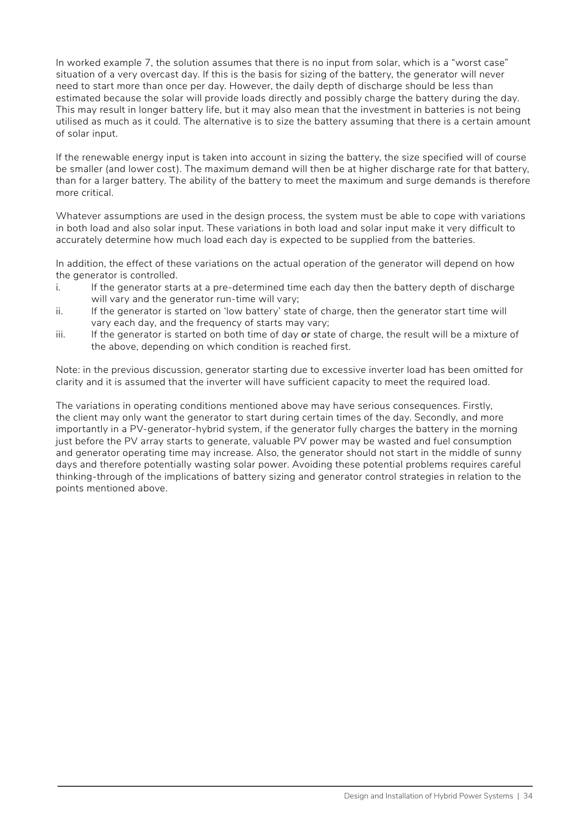In worked example 7, the solution assumes that there is no input from solar, which is a "worst case" situation of a very overcast day. If this is the basis for sizing of the battery, the generator will never need to start more than once per day. However, the daily depth of discharge should be less than estimated because the solar will provide loads directly and possibly charge the battery during the day. This may result in longer battery life, but it may also mean that the investment in batteries is not being utilised as much as it could. The alternative is to size the battery assuming that there is a certain amount of solar input.

If the renewable energy input is taken into account in sizing the battery, the size specified will of course be smaller (and lower cost). The maximum demand will then be at higher discharge rate for that battery, than for a larger battery. The ability of the battery to meet the maximum and surge demands is therefore more critical.

Whatever assumptions are used in the design process, the system must be able to cope with variations in both load and also solar input. These variations in both load and solar input make it very difficult to accurately determine how much load each day is expected to be supplied from the batteries.

In addition, the effect of these variations on the actual operation of the generator will depend on how the generator is controlled.

- i. If the generator starts at a pre-determined time each day then the battery depth of discharge will vary and the generator run-time will vary;
- ii. If the generator is started on 'low battery' state of charge, then the generator start time will vary each day, and the frequency of starts may vary;
- iii. If the generator is started on both time of day *or* state of charge, the result will be a mixture of the above, depending on which condition is reached first.

Note: in the previous discussion, generator starting due to excessive inverter load has been omitted for clarity and it is assumed that the inverter will have sufficient capacity to meet the required load.

The variations in operating conditions mentioned above may have serious consequences. Firstly, the client may only want the generator to start during certain times of the day. Secondly, and more importantly in a PV-generator-hybrid system, if the generator fully charges the battery in the morning just before the PV array starts to generate, valuable PV power may be wasted and fuel consumption and generator operating time may increase. Also, the generator should not start in the middle of sunny days and therefore potentially wasting solar power. Avoiding these potential problems requires careful thinking-through of the implications of battery sizing and generator control strategies in relation to the points mentioned above.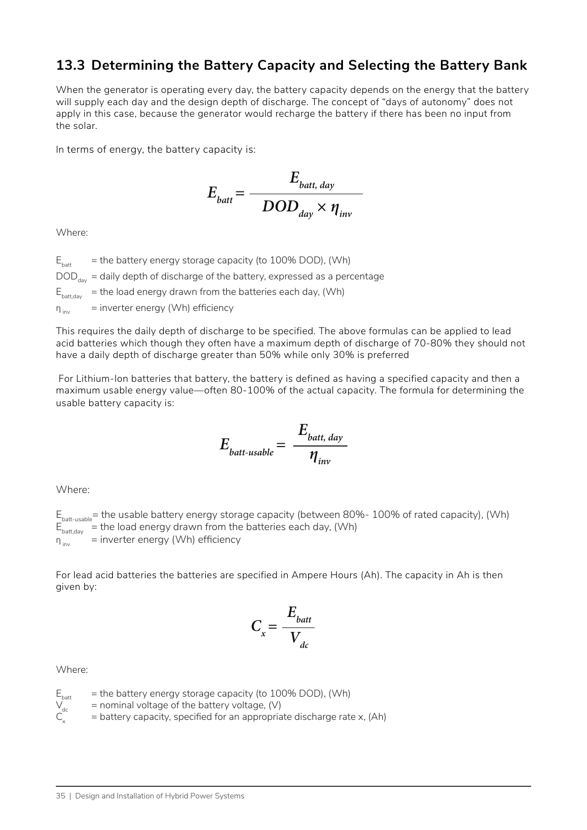### **13.3 Determining the Battery Capacity and Selecting the Battery Bank**

When the generator is operating every day, the battery capacity depends on the energy that the battery will supply each day and the design depth of discharge. The concept of "days of autonomy" does not apply in this case, because the generator would recharge the battery if there has been no input from the solar.

In terms of energy, the battery capacity is:

$$
E_{\text{batt}} = \frac{E_{\text{batt, day}}}{DOD_{\text{day}} \times \eta_{\text{inv}}}
$$

Where:

 $E<sub>heat</sub>$  = the battery energy storage capacity (to 100% DOD), (Wh)  $DOD_{\text{day}}$  = daily depth of discharge of the battery, expressed as a percentage  $E_{\text{batt,day}}$  = the load energy drawn from the batteries each day, (Wh)  $\eta_{\text{inv}}$  = inverter energy (Wh) efficiency

This requires the daily depth of discharge to be specified. The above formulas can be applied to lead acid batteries which though they often have a maximum depth of discharge of 70-80% they should not have a daily depth of discharge greater than 50% while only 30% is preferred

 For Lithium-Ion batteries that battery, the battery is defined as having a specified capacity and then a maximum usable energy value—often 80-100% of the actual capacity. The formula for determining the usable battery capacity is:

$$
E_{\text{batt-usable}} = \frac{E_{\text{batt, day}}}{\eta_{\text{inv}}}
$$

Where:

 $E<sub>batt-usable</sub>$  = the usable battery energy storage capacity (between 80%- 100% of rated capacity), (Wh)  $E_{\text{batt,day}}^{\text{Sortl,day}}$  = the load energy drawn from the batteries each day, (Wh)  $\eta_{inv}$  = inverter energy (Wh) efficiency

For lead acid batteries the batteries are specified in Ampere Hours (Ah). The capacity in Ah is then given by:

$$
C_x = \frac{E_{batt}}{V_{dc}}
$$

Where:

 $E_{\text{batt}}$  = the battery energy storage capacity (to 100% DOD), (Wh)<br>  $V_{\text{dc}}$  = nominal voltage of the battery voltage, (V)

 $V_{dc}$  = nominal voltage of the battery voltage, (V)<br>C<sub>y</sub> = battery capacity, specified for an appropria

 $=$  battery capacity, specified for an appropriate discharge rate x, (Ah)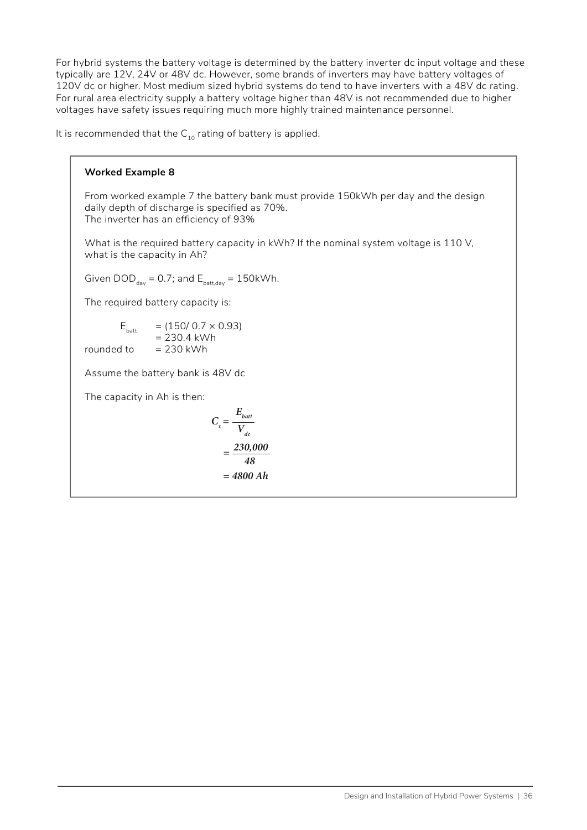For hybrid systems the battery voltage is determined by the battery inverter dc input voltage and these typically are 12V, 24V or 48V dc. However, some brands of inverters may have battery voltages of 120V dc or higher. Most medium sized hybrid systems do tend to have inverters with a 48V dc rating. For rural area electricity supply a battery voltage higher than 48V is not recommended due to higher voltages have safety issues requiring much more highly trained maintenance personnel.

It is recommended that the  $C_{10}$  rating of battery is applied.

#### **Worked Example 8**

From worked example 7 the battery bank must provide 150kWh per day and the design daily depth of discharge is specified as 70%. The inverter has an efficiency of 93%

What is the required battery capacity in kWh? If the nominal system voltage is 110 V, what is the capacity in Ah?

Given  $\text{DOD}_{\text{day}} = 0.7$ ; and  $\text{E}_{\text{batt,day}} = 150 \text{kWh}$ .

The required battery capacity is:

$$
E_{\text{batt}} = (150/0.7 \times 0.93)
$$
  
= 230.4 kWh

rounded to  $= 230$  kWh

Assume the battery bank is 48V dc

The capacity in Ah is then:

$$
C_x = \frac{E_{batt}}{V_{dc}}
$$

$$
= \frac{230,000}{48}
$$

$$
= 4800 Ah
$$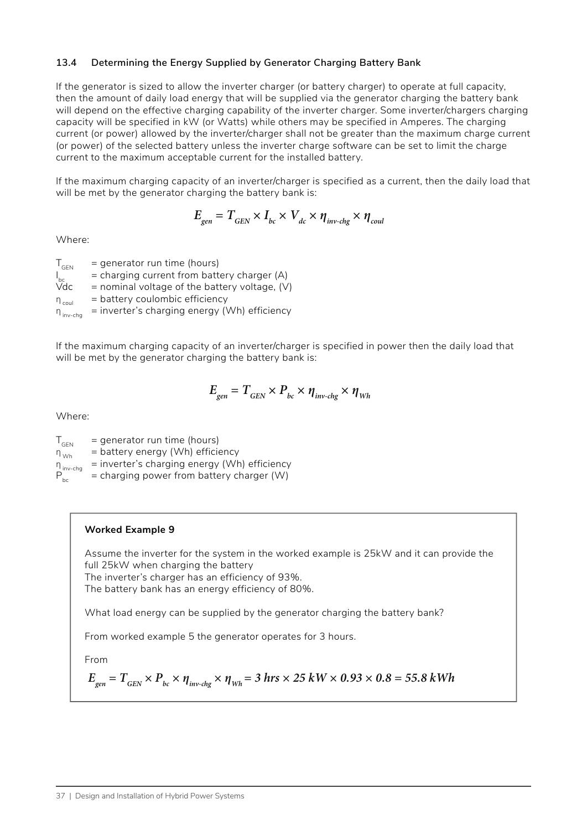#### **13.4 Determining the Energy Supplied by Generator Charging Battery Bank**

If the generator is sized to allow the inverter charger (or battery charger) to operate at full capacity, then the amount of daily load energy that will be supplied via the generator charging the battery bank will depend on the effective charging capability of the inverter charger. Some inverter/chargers charging capacity will be specified in kW (or Watts) while others may be specified in Amperes. The charging current (or power) allowed by the inverter/charger shall not be greater than the maximum charge current (or power) of the selected battery unless the inverter charge software can be set to limit the charge current to the maximum acceptable current for the installed battery.

If the maximum charging capacity of an inverter/charger is specified as a current, then the daily load that will be met by the generator charging the battery bank is:

$$
E_{gen} = T_{GEN} \times I_{bc} \times V_{dc} \times \eta_{inv\text{-}chg} \times \eta_{coul}
$$

Where:

 $T_{\text{GEN}}$  = generator run time (hours)  $I_{bc}$  $I_{bc}^{\text{max}}$  = charging current from battery charger (A)<br>Vdc = nominal voltage of the battery voltage. (V)  $=$  nominal voltage of the battery voltage, (V)  $\eta_{\text{coul}}$  = battery coulombic efficiency  $\eta_{\text{invcbb}}$  = inverter's charging energy (Wh) efficiency

If the maximum charging capacity of an inverter/charger is specified in power then the daily load that will be met by the generator charging the battery bank is:

$$
E_{gen} = T_{GEN} \times P_{bc} \times \eta_{inv\text{-}chg} \times \eta_{Wh}
$$

Where:

 $T_{\text{GEN}}$  = generator run time (hours)  $\eta_{Wb}$  = battery energy (Wh) efficiency  $\eta_{\text{inv-chg}}$  = inverter's charging energy (Wh) efficiency<br>  $P_{\text{hc}}$  = charging power from battery charger (W)  $=$  charging power from battery charger (W)

#### **Worked Example 9**

Assume the inverter for the system in the worked example is 25kW and it can provide the full 25kW when charging the battery

The inverter's charger has an efficiency of 93%.

The battery bank has an energy efficiency of 80%.

What load energy can be supplied by the generator charging the battery bank?

From worked example 5 the generator operates for 3 hours.

From

$$
E_{gen} = T_{GEN} \times P_{bc} \times \eta_{inv-chg} \times \eta_{Wh} = 3 \text{ hrs} \times 25 \text{ kW} \times 0.93 \times 0.8 = 55.8 \text{ kWh}
$$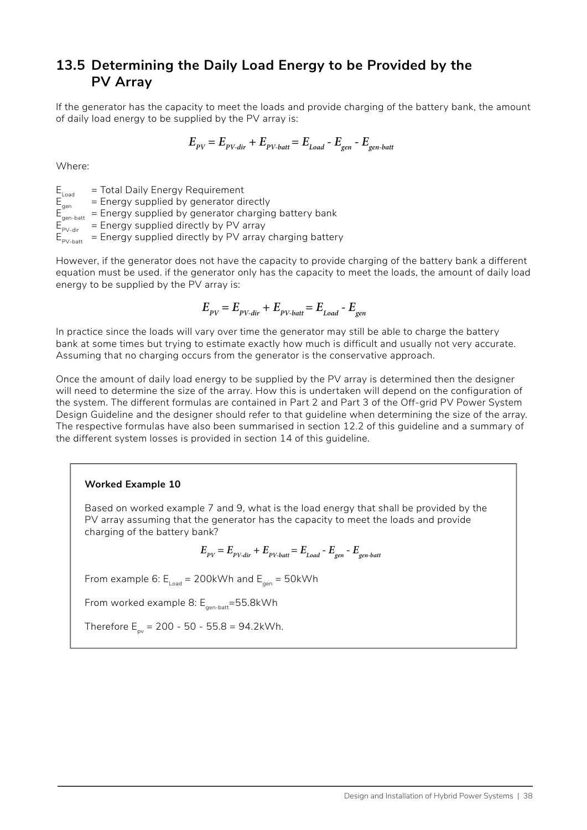### **13.5 Determining the Daily Load Energy to be Provided by the PV Array**

If the generator has the capacity to meet the loads and provide charging of the battery bank, the amount of daily load energy to be supplied by the PV array is:

$$
E_{\rm\scriptscriptstyle PV} = E_{\rm\scriptscriptstyle PV-dir} + E_{\rm\scriptscriptstyle PV\text{-}batt} = E_{\rm\scriptscriptstyle Load} - E_{\rm\scriptscriptstyle gen} - E_{\rm\scriptscriptstyle gen\text{-}batt}
$$

Where:

 $E_{\text{load}} = \text{Total Daily Energy Requirements}$ <br>  $E_{\text{gen}} = \text{Energy supplied by generator di}$ <br>  $E_{\text{on}} = \text{Energy supplied by generator ch}$  $E$  Energy supplied by generator directly  $E_{gen-batt}$  = Energy supplied by generator charging battery bank<br>  $E_{p_{V-dir}}$  = Energy supplied directly by PV array  $E_{PV-dir}$  = Energy supplied directly by PV array<br> $E_{PV-dir}$  = Energy supplied directly by PV array  $=$  Energy supplied directly by PV array charging battery

However, if the generator does not have the capacity to provide charging of the battery bank a different

equation must be used. if the generator only has the capacity to meet the loads, the amount of daily load energy to be supplied by the PV array is:

$$
E_{\scriptscriptstyle PV} = E_{\scriptscriptstyle PV-dir} + E_{\scriptscriptstyle PV-batt} = E_{\scriptscriptstyle Load} - E_{\scriptscriptstyle gen}
$$

In practice since the loads will vary over time the generator may still be able to charge the battery bank at some times but trying to estimate exactly how much is difficult and usually not very accurate. Assuming that no charging occurs from the generator is the conservative approach.

Once the amount of daily load energy to be supplied by the PV array is determined then the designer will need to determine the size of the array. How this is undertaken will depend on the configuration of the system. The different formulas are contained in Part 2 and Part 3 of the Off-grid PV Power System Design Guideline and the designer should refer to that guideline when determining the size of the array. The respective formulas have also been summarised in section 12.2 of this guideline and a summary of the different system losses is provided in section 14 of this guideline.

#### **Worked Example 10**

Based on worked example 7 and 9, what is the load energy that shall be provided by the PV array assuming that the generator has the capacity to meet the loads and provide charging of the battery bank?

$$
E_{\rm PV} = E_{\rm PV-dir} + E_{\rm PV-batt} = E_{\rm Load} - E_{\rm gen} - E_{\rm gen-batt}
$$

From example 6:  $E_{load} = 200$ kWh and  $E_{gen} = 50$ kWh

From worked example 8:  $E_{gen-batt}=55.8$ kWh

Therefore  $E_{\text{av}} = 200 - 50 - 55.8 = 94.2$ kWh.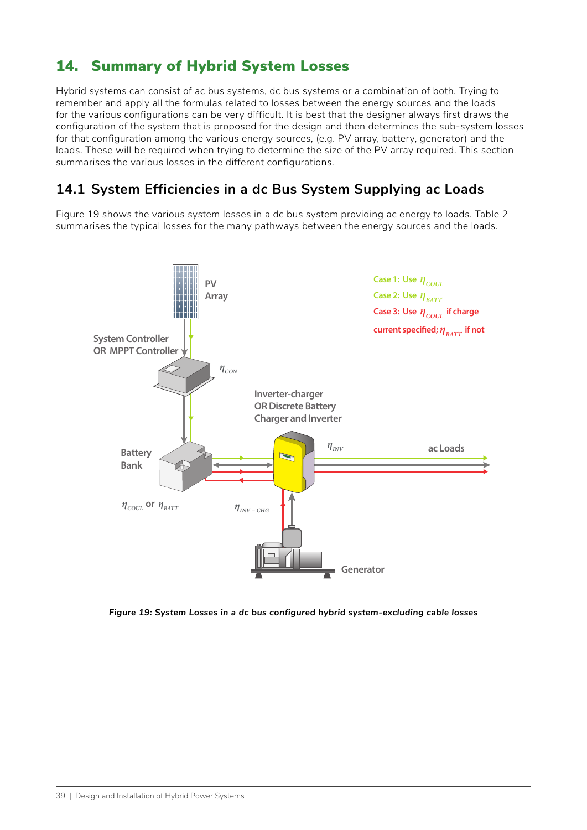## 14. Summary of Hybrid System Losses

Hybrid systems can consist of ac bus systems, dc bus systems or a combination of both. Trying to remember and apply all the formulas related to losses between the energy sources and the loads for the various configurations can be very difficult. It is best that the designer always first draws the configuration of the system that is proposed for the design and then determines the sub-system losses for that configuration among the various energy sources, (e.g. PV array, battery, generator) and the loads. These will be required when trying to determine the size of the PV array required. This section summarises the various losses in the different configurations.

### **14.1 System Efficiencies in a dc Bus System Supplying ac Loads**

<span id="page-45-0"></span>[Figure 19](#page-45-0) shows the various system losses in a dc bus system providing ac energy to loads. [Table 2](#page-45-1) summarises the typical losses for the many pathways between the energy sources and the loads.



<span id="page-45-1"></span>*Figure 19: System Losses in a dc bus configured hybrid system-excluding cable losses*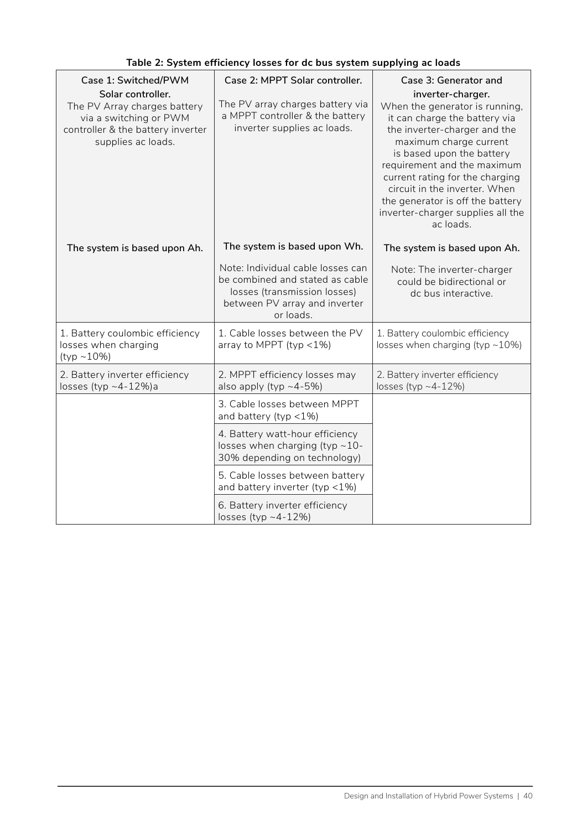| Case 1: Switched/PWM<br>Solar controller.<br>The PV Array charges battery<br>via a switching or PWM<br>controller & the battery inverter<br>supplies ac loads. | Case 2: MPPT Solar controller.<br>The PV array charges battery via<br>a MPPT controller & the battery<br>inverter supplies ac loads.               | Case 3: Generator and<br>inverter-charger.<br>When the generator is running,<br>it can charge the battery via<br>the inverter-charger and the<br>maximum charge current<br>is based upon the battery<br>requirement and the maximum<br>current rating for the charging<br>circuit in the inverter. When<br>the generator is off the battery<br>inverter-charger supplies all the<br>ac loads. |
|----------------------------------------------------------------------------------------------------------------------------------------------------------------|----------------------------------------------------------------------------------------------------------------------------------------------------|-----------------------------------------------------------------------------------------------------------------------------------------------------------------------------------------------------------------------------------------------------------------------------------------------------------------------------------------------------------------------------------------------|
| The system is based upon Ah.                                                                                                                                   | The system is based upon Wh.                                                                                                                       | The system is based upon Ah.                                                                                                                                                                                                                                                                                                                                                                  |
|                                                                                                                                                                | Note: Individual cable losses can<br>be combined and stated as cable<br>losses (transmission losses)<br>between PV array and inverter<br>or loads. | Note: The inverter-charger<br>could be bidirectional or<br>dc bus interactive.                                                                                                                                                                                                                                                                                                                |
| 1. Battery coulombic efficiency<br>losses when charging<br>$(typ ~ -10\%)$                                                                                     | 1. Cable losses between the PV<br>array to MPPT (typ $<$ 1%)                                                                                       | 1. Battery coulombic efficiency<br>losses when charging (typ $\sim$ 10%)                                                                                                                                                                                                                                                                                                                      |
| 2. Battery inverter efficiency<br>losses (typ $\sim$ 4-12%)a                                                                                                   | 2. MPPT efficiency losses may<br>also apply (typ $~1$ -4-5%)                                                                                       | 2. Battery inverter efficiency<br>losses (typ $~12\%$ )                                                                                                                                                                                                                                                                                                                                       |
|                                                                                                                                                                | 3. Cable losses between MPPT<br>and battery (typ $<$ 1%)                                                                                           |                                                                                                                                                                                                                                                                                                                                                                                               |
|                                                                                                                                                                | 4. Battery watt-hour efficiency<br>losses when charging (typ $\sim$ 10-<br>30% depending on technology)                                            |                                                                                                                                                                                                                                                                                                                                                                                               |
|                                                                                                                                                                | 5. Cable losses between battery<br>and battery inverter (typ $<$ 1%)                                                                               |                                                                                                                                                                                                                                                                                                                                                                                               |
|                                                                                                                                                                | 6. Battery inverter efficiency<br>losses (typ ~4-12%)                                                                                              |                                                                                                                                                                                                                                                                                                                                                                                               |

### **Table 2: System efficiency losses for dc bus system supplying ac loads**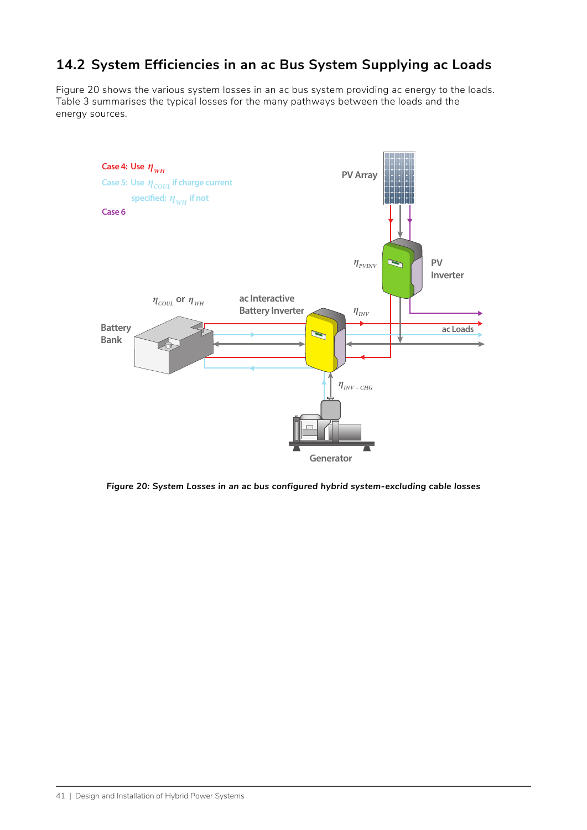### **14.2 System Efficiencies in an ac Bus System Supplying ac Loads**

[Figure 20](#page-47-0) shows the various system losses in an ac bus system providing ac energy to the loads. [Table 3](#page-48-0) summarises the typical losses for the many pathways between the loads and the energy sources.



<span id="page-47-0"></span>*Figure 20: System Losses in an ac bus configured hybrid system-excluding cable losses*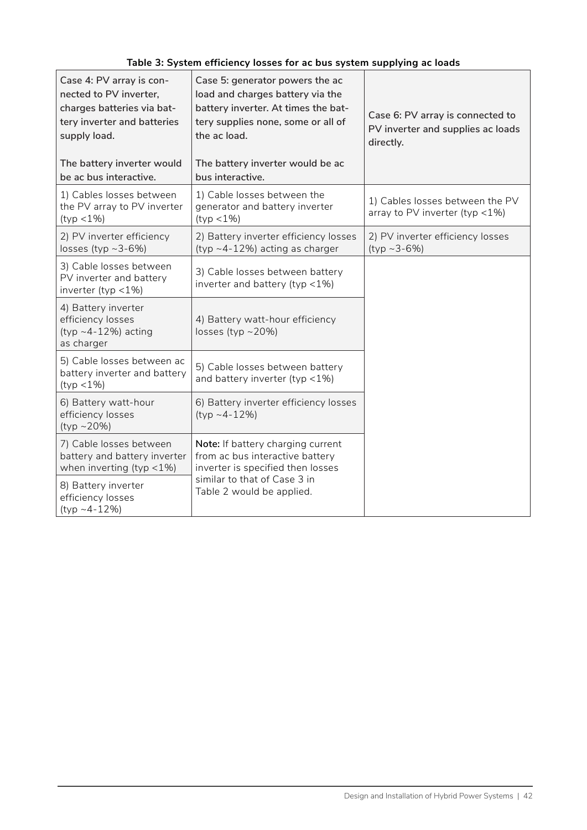<span id="page-48-0"></span>

| Table 3: System efficiency losses for ac bus system supplying ac loads |  |  |
|------------------------------------------------------------------------|--|--|
|------------------------------------------------------------------------|--|--|

| Case 4: PV array is con-<br>nected to PV inverter,<br>charges batteries via bat-<br>tery inverter and batteries<br>supply load. | Case 5: generator powers the ac<br>load and charges battery via the<br>battery inverter. At times the bat-<br>tery supplies none, some or all of<br>the ac load. | Case 6: PV array is connected to<br>PV inverter and supplies ac loads<br>directly. |
|---------------------------------------------------------------------------------------------------------------------------------|------------------------------------------------------------------------------------------------------------------------------------------------------------------|------------------------------------------------------------------------------------|
| The battery inverter would<br>be ac bus interactive.                                                                            | The battery inverter would be ac<br>bus interactive.                                                                                                             |                                                                                    |
| 1) Cables losses between<br>the PV array to PV inverter<br>$(typ < 1\%)$                                                        | 1) Cable losses between the<br>generator and battery inverter<br>$(typ < 1\%)$                                                                                   | 1) Cables losses between the PV<br>array to PV inverter (typ $<$ 1%)               |
| 2) PV inverter efficiency<br>losses (typ $~2$ -6%)                                                                              | 2) Battery inverter efficiency losses<br>(typ ~4-12%) acting as charger                                                                                          | 2) PV inverter efficiency losses<br>$(typ \sim 3-6\%)$                             |
| 3) Cable losses between<br>PV inverter and battery<br>inverter (typ $<$ 1%)                                                     | 3) Cable losses between battery<br>inverter and battery (typ <1%)                                                                                                |                                                                                    |
| 4) Battery inverter<br>efficiency losses<br>$(typ \sim 4-12\%)$ acting<br>as charger                                            | 4) Battery watt-hour efficiency<br>losses (typ $\sim$ 20%)                                                                                                       |                                                                                    |
| 5) Cable losses between ac<br>battery inverter and battery<br>$(typ < 1\%)$                                                     | 5) Cable losses between battery<br>and battery inverter (typ <1%)                                                                                                |                                                                                    |
| 6) Battery watt-hour<br>efficiency losses<br>$(typ \sim 20\%)$                                                                  | 6) Battery inverter efficiency losses<br>$(tvp - 4-12%)$                                                                                                         |                                                                                    |
| 7) Cable losses between<br>battery and battery inverter<br>when inverting (typ $<$ 1%)                                          | Note: If battery charging current<br>from ac bus interactive battery<br>inverter is specified then losses                                                        |                                                                                    |
| 8) Battery inverter<br>efficiency losses<br>(typ ~4-12%)                                                                        | similar to that of Case 3 in<br>Table 2 would be applied.                                                                                                        |                                                                                    |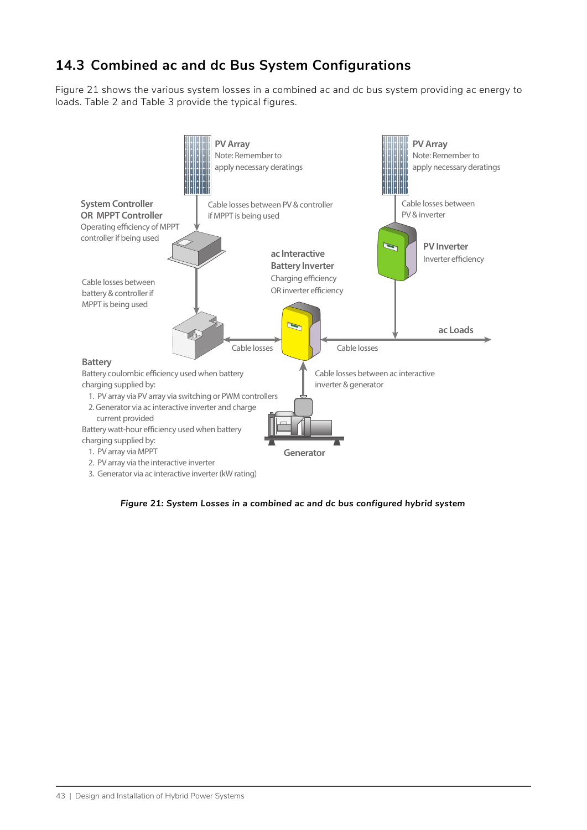### **14.3 Combined ac and dc Bus System Configurations**

[Figure 21](#page-49-0) shows the various system losses in a combined ac and dc bus system providing ac energy to loads. [Table 2](#page-45-1) and [Table 3](#page-48-0) provide the typical figures.



<span id="page-49-0"></span>*Figure 21: System Losses in a combined ac and dc bus configured hybrid system*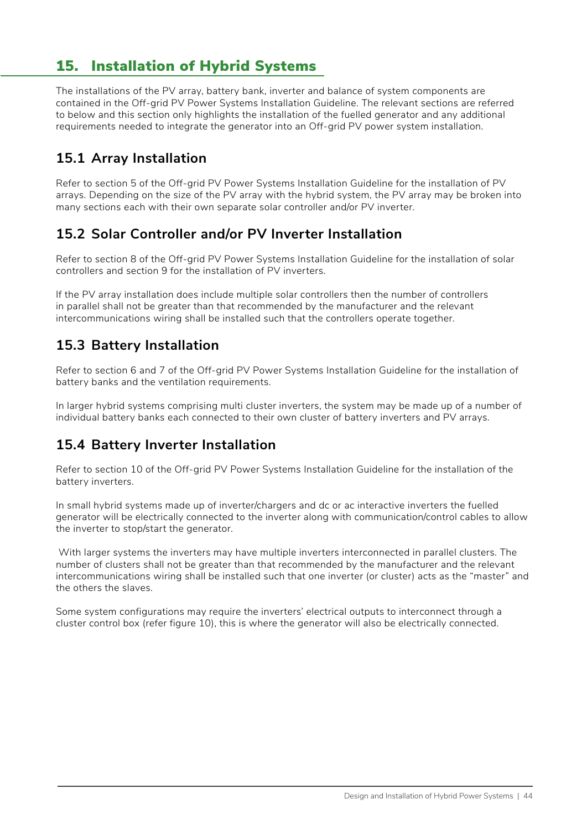## 15. Installation of Hybrid Systems

The installations of the PV array, battery bank, inverter and balance of system components are contained in the Off-grid PV Power Systems Installation Guideline. The relevant sections are referred to below and this section only highlights the installation of the fuelled generator and any additional requirements needed to integrate the generator into an Off-grid PV power system installation.

### **15.1 Array Installation**

Refer to section 5 of the Off-grid PV Power Systems Installation Guideline for the installation of PV arrays. Depending on the size of the PV array with the hybrid system, the PV array may be broken into many sections each with their own separate solar controller and/or PV inverter.

### **15.2 Solar Controller and/or PV Inverter Installation**

Refer to section 8 of the Off-grid PV Power Systems Installation Guideline for the installation of solar controllers and section 9 for the installation of PV inverters.

If the PV array installation does include multiple solar controllers then the number of controllers in parallel shall not be greater than that recommended by the manufacturer and the relevant intercommunications wiring shall be installed such that the controllers operate together.

### **15.3 Battery Installation**

Refer to section 6 and 7 of the Off-grid PV Power Systems Installation Guideline for the installation of battery banks and the ventilation requirements.

In larger hybrid systems comprising multi cluster inverters, the system may be made up of a number of individual battery banks each connected to their own cluster of battery inverters and PV arrays.

### **15.4 Battery Inverter Installation**

Refer to section 10 of the Off-grid PV Power Systems Installation Guideline for the installation of the battery inverters.

In small hybrid systems made up of inverter/chargers and dc or ac interactive inverters the fuelled generator will be electrically connected to the inverter along with communication/control cables to allow the inverter to stop/start the generator.

 With larger systems the inverters may have multiple inverters interconnected in parallel clusters. The number of clusters shall not be greater than that recommended by the manufacturer and the relevant intercommunications wiring shall be installed such that one inverter (or cluster) acts as the "master" and the others the slaves.

Some system configurations may require the inverters' electrical outputs to interconnect through a cluster control box (refer figure 10), this is where the generator will also be electrically connected.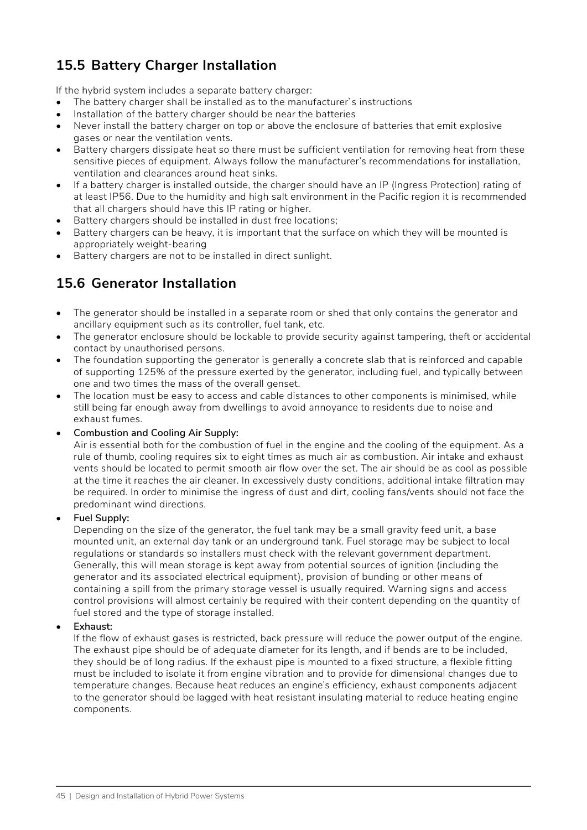## **15.5 Battery Charger Installation**

If the hybrid system includes a separate battery charger:

- The battery charger shall be installed as to the manufacturer's instructions
- Installation of the battery charger should be near the batteries
- Never install the battery charger on top or above the enclosure of batteries that emit explosive gases or near the ventilation vents.
- Battery chargers dissipate heat so there must be sufficient ventilation for removing heat from these sensitive pieces of equipment. Always follow the manufacturer's recommendations for installation, ventilation and clearances around heat sinks.
- If a battery charger is installed outside, the charger should have an IP (Ingress Protection) rating of at least IP56. Due to the humidity and high salt environment in the Pacific region it is recommended that all chargers should have this IP rating or higher.
- Battery chargers should be installed in dust free locations;
- Battery chargers can be heavy, it is important that the surface on which they will be mounted is appropriately weight-bearing
- Battery chargers are not to be installed in direct sunlight.

### **15.6 Generator Installation**

- The generator should be installed in a separate room or shed that only contains the generator and ancillary equipment such as its controller, fuel tank, etc.
- The generator enclosure should be lockable to provide security against tampering, theft or accidental contact by unauthorised persons.
- The foundation supporting the generator is generally a concrete slab that is reinforced and capable of supporting 125% of the pressure exerted by the generator, including fuel, and typically between one and two times the mass of the overall genset.
- The location must be easy to access and cable distances to other components is minimised, while still being far enough away from dwellings to avoid annoyance to residents due to noise and exhaust fumes.

#### • **Combustion and Cooling Air Supply:**

Air is essential both for the combustion of fuel in the engine and the cooling of the equipment. As a rule of thumb, cooling requires six to eight times as much air as combustion. Air intake and exhaust vents should be located to permit smooth air flow over the set. The air should be as cool as possible at the time it reaches the air cleaner. In excessively dusty conditions, additional intake filtration may be required. In order to minimise the ingress of dust and dirt, cooling fans/vents should not face the predominant wind directions.

#### • **Fuel Supply:**

Depending on the size of the generator, the fuel tank may be a small gravity feed unit, a base mounted unit, an external day tank or an underground tank. Fuel storage may be subject to local regulations or standards so installers must check with the relevant government department. Generally, this will mean storage is kept away from potential sources of ignition (including the generator and its associated electrical equipment), provision of bunding or other means of containing a spill from the primary storage vessel is usually required. Warning signs and access control provisions will almost certainly be required with their content depending on the quantity of fuel stored and the type of storage installed.

#### • **Exhaust:**

If the flow of exhaust gases is restricted, back pressure will reduce the power output of the engine. The exhaust pipe should be of adequate diameter for its length, and if bends are to be included, they should be of long radius. If the exhaust pipe is mounted to a fixed structure, a flexible fitting must be included to isolate it from engine vibration and to provide for dimensional changes due to temperature changes. Because heat reduces an engine's efficiency, exhaust components adjacent to the generator should be lagged with heat resistant insulating material to reduce heating engine components.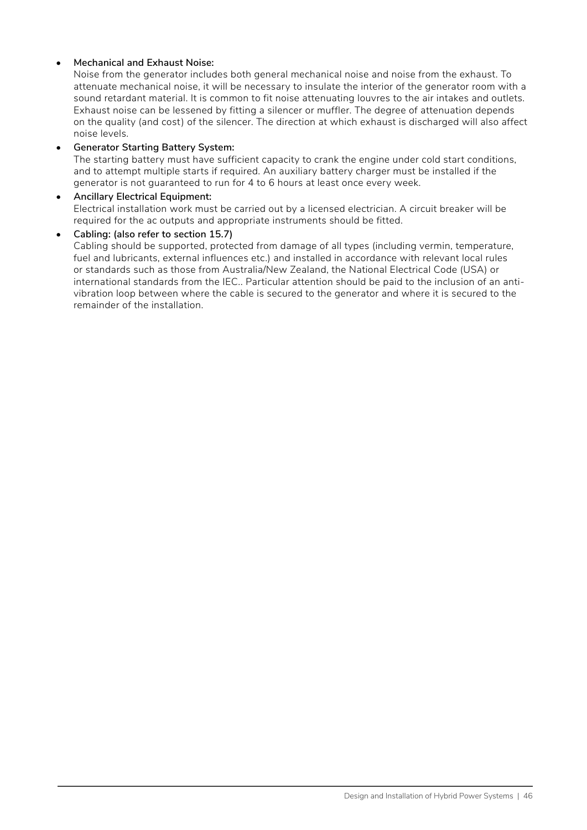#### • **Mechanical and Exhaust Noise:**

Noise from the generator includes both general mechanical noise and noise from the exhaust. To attenuate mechanical noise, it will be necessary to insulate the interior of the generator room with a sound retardant material. It is common to fit noise attenuating louvres to the air intakes and outlets. Exhaust noise can be lessened by fitting a silencer or muffler. The degree of attenuation depends on the quality (and cost) of the silencer. The direction at which exhaust is discharged will also affect noise levels.

#### • **Generator Starting Battery System:**

The starting battery must have sufficient capacity to crank the engine under cold start conditions, and to attempt multiple starts if required. An auxiliary battery charger must be installed if the generator is not guaranteed to run for 4 to 6 hours at least once every week.

#### • **Ancillary Electrical Equipment:** Electrical installation work must be carried out by a licensed electrician. A circuit breaker will be required for the ac outputs and appropriate instruments should be fitted.

#### • **Cabling: (also refer to section 15.7)**

Cabling should be supported, protected from damage of all types (including vermin, temperature, fuel and lubricants, external influences etc.) and installed in accordance with relevant local rules or standards such as those from Australia/New Zealand, the National Electrical Code (USA) or international standards from the IEC.. Particular attention should be paid to the inclusion of an antivibration loop between where the cable is secured to the generator and where it is secured to the remainder of the installation.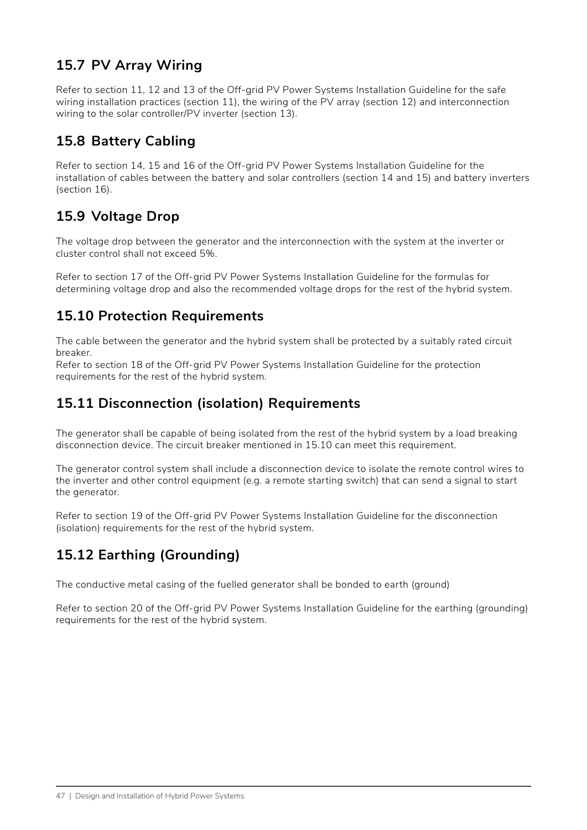### **15.7 PV Array Wiring**

Refer to section 11, 12 and 13 of the Off-grid PV Power Systems Installation Guideline for the safe wiring installation practices (section 11), the wiring of the PV array (section 12) and interconnection wiring to the solar controller/PV inverter (section 13).

### **15.8 Battery Cabling**

Refer to section 14, 15 and 16 of the Off-grid PV Power Systems Installation Guideline for the installation of cables between the battery and solar controllers (section 14 and 15) and battery inverters (section 16).

## **15.9 Voltage Drop**

The voltage drop between the generator and the interconnection with the system at the inverter or cluster control shall not exceed 5%.

Refer to section 17 of the Off-grid PV Power Systems Installation Guideline for the formulas for determining voltage drop and also the recommended voltage drops for the rest of the hybrid system.

### **15.10 Protection Requirements**

The cable between the generator and the hybrid system shall be protected by a suitably rated circuit breaker.

Refer to section 18 of the Off-grid PV Power Systems Installation Guideline for the protection requirements for the rest of the hybrid system.

### **15.11 Disconnection (isolation) Requirements**

The generator shall be capable of being isolated from the rest of the hybrid system by a load breaking disconnection device. The circuit breaker mentioned in 15.10 can meet this requirement.

The generator control system shall include a disconnection device to isolate the remote control wires to the inverter and other control equipment (e.g. a remote starting switch) that can send a signal to start the generator.

Refer to section 19 of the Off-grid PV Power Systems Installation Guideline for the disconnection (isolation) requirements for the rest of the hybrid system.

### **15.12 Earthing (Grounding)**

The conductive metal casing of the fuelled generator shall be bonded to earth (ground)

Refer to section 20 of the Off-grid PV Power Systems Installation Guideline for the earthing (grounding) requirements for the rest of the hybrid system.